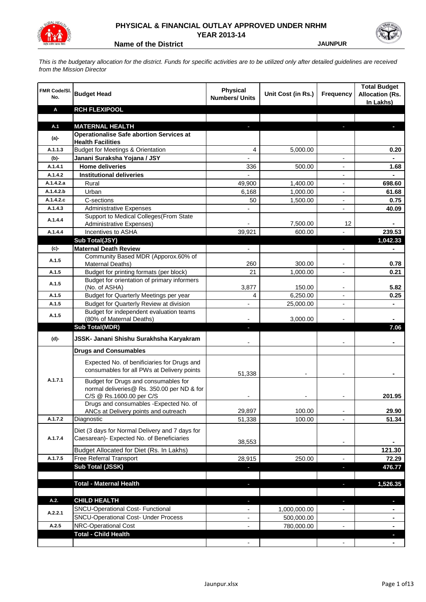

## **PHYSICAL & FINANCIAL OUTLAY APPROVED UNDER NRHM**

**YEAR 2013-14 Name of the District State of the District State of the District State of the District State of the District State of the District State of the District State of the District State of the District State of the District St** 

*This is the budgetary allocation for the district. Funds for specific activities are to be utilized only after detailed guidelines are received from the Mission Director*

| FMR Code/SI.<br>No. | <b>Budget Head</b>                                                                                             | <b>Physical</b><br><b>Numbers/ Units</b> | Unit Cost (in Rs.) | <b>Frequency</b>         | <b>Total Budget</b><br><b>Allocation (Rs.</b><br>In Lakhs) |
|---------------------|----------------------------------------------------------------------------------------------------------------|------------------------------------------|--------------------|--------------------------|------------------------------------------------------------|
| A                   | <b>RCH FLEXIPOOL</b>                                                                                           |                                          |                    |                          |                                                            |
|                     |                                                                                                                |                                          |                    |                          |                                                            |
| A.1                 | <b>MATERNAL HEALTH</b>                                                                                         |                                          |                    |                          |                                                            |
| $(a)$ -             | <b>Operationalise Safe abortion Services at</b>                                                                |                                          |                    |                          |                                                            |
| A.1.1.3             | <b>Health Facilities</b><br><b>Budget for Meetings &amp; Orientation</b>                                       | 4                                        | 5,000.00           |                          | 0.20                                                       |
| (b)-                | Janani Suraksha Yojana / JSY                                                                                   | $\overline{\phantom{a}}$                 |                    | $\overline{\phantom{a}}$ |                                                            |
| A.1.4.1             | <b>Home deliveries</b>                                                                                         | 336                                      | 500.00             | $\overline{\phantom{a}}$ | 1.68                                                       |
| A.1.4.2             | <b>Institutional deliveries</b>                                                                                |                                          |                    |                          |                                                            |
| A.1.4.2.a           | Rural                                                                                                          | 49,900                                   | 1,400.00           |                          | 698.60                                                     |
| A.1.4.2.b           | Urban                                                                                                          | 6,168                                    | 1,000.00           | $\blacksquare$           | 61.68                                                      |
| A.1.4.2.c           | C-sections                                                                                                     | 50                                       | 1,500.00           |                          | 0.75                                                       |
| A.1.4.3             | <b>Administrative Expenses</b>                                                                                 |                                          |                    |                          | 40.09                                                      |
|                     | Support to Medical Colleges (From State                                                                        |                                          |                    |                          |                                                            |
| A.1.4.4             | Administrative Expenses)                                                                                       |                                          | 7,500.00           | 12                       |                                                            |
| A.1.4.4             | Incentives to ASHA                                                                                             | 39,921                                   | 600.00             | $\overline{a}$           | 239.53                                                     |
|                     | <b>Sub Total(JSY)</b>                                                                                          |                                          |                    |                          | 1,042.33                                                   |
| $(c)$ -             | <b>Maternal Death Review</b>                                                                                   | $\blacksquare$                           |                    | $\overline{\phantom{a}}$ |                                                            |
| A.1.5               | Community Based MDR (Apporox.60% of<br>Maternal Deaths)                                                        | 260                                      | 300.00             |                          | 0.78                                                       |
| A.1.5               | Budget for printing formats (per block)                                                                        | 21                                       | 1,000.00           | $\overline{a}$           | 0.21                                                       |
| A.1.5               | Budget for orientation of primary informers<br>(No. of ASHA)                                                   | 3,877                                    | 150.00             | $\overline{\phantom{a}}$ | 5.82                                                       |
| A.1.5               | Budget for Quarterly Meetings per year                                                                         | 4                                        | 6,250.00           | $\overline{\phantom{a}}$ | 0.25                                                       |
| A.1.5               | Budget for Quarterly Review at division                                                                        | $\overline{\phantom{a}}$                 | 25,000.00          | $\overline{\phantom{a}}$ |                                                            |
| A.1.5               | Budget for independent evaluation teams                                                                        |                                          |                    |                          |                                                            |
|                     | (80% of Maternal Deaths)                                                                                       |                                          | 3,000.00           |                          |                                                            |
|                     | <b>Sub Total(MDR)</b>                                                                                          |                                          |                    |                          | 7.06                                                       |
| (d)-                | JSSK- Janani Shishu Surakhsha Karyakram                                                                        |                                          |                    |                          |                                                            |
|                     | <b>Drugs and Consumables</b>                                                                                   |                                          |                    |                          |                                                            |
|                     | Expected No. of benificiaries for Drugs and<br>consumables for all PWs at Delivery points                      | 51,338                                   |                    |                          |                                                            |
| A.1.7.1             | Budget for Drugs and consumables for<br>normal deliveries@ Rs. 350.00 per ND & for<br>C/S @ Rs.1600.00 per C/S |                                          |                    |                          | 201.95                                                     |
|                     | Drugs and consumables - Expected No. of                                                                        |                                          |                    |                          |                                                            |
|                     | ANCs at Delivery points and outreach                                                                           | 29.897                                   | 100.00             |                          | 29.90                                                      |
| A.1.7.2             | Diagnostic                                                                                                     | 51,338                                   | 100.00             |                          | 51.34                                                      |
| A.1.7.4             | Diet (3 days for Normal Delivery and 7 days for<br>Caesarean)- Expected No. of Beneficiaries                   | 38,553                                   |                    | $\overline{\phantom{a}}$ |                                                            |
|                     | Budget Allocated for Diet (Rs. In Lakhs)                                                                       |                                          |                    |                          | 121.30                                                     |
| A.1.7.5             | Free Referral Transport                                                                                        | 28,915                                   | 250.00             | $\overline{\phantom{a}}$ | 72.29                                                      |
|                     | Sub Total (JSSK)                                                                                               | ٠                                        |                    | $\overline{\phantom{a}}$ | 476.77                                                     |
|                     |                                                                                                                |                                          |                    |                          |                                                            |
|                     | <b>Total - Maternal Health</b>                                                                                 | ٠                                        |                    | ٠                        | 1,526.35                                                   |
| A.2.                | <b>CHILD HEALTH</b>                                                                                            | ٠                                        |                    | ٠                        | ٠                                                          |
|                     | SNCU-Operational Cost- Functional                                                                              | $\overline{\phantom{a}}$                 | 1,000,000.00       | $\overline{\phantom{a}}$ |                                                            |
| A.2.2.1             | <b>SNCU-Operational Cost- Under Process</b>                                                                    | $\blacksquare$                           | 500,000.00         |                          |                                                            |
| A.2.5               | NRC-Operational Cost                                                                                           |                                          | 780,000.00         |                          |                                                            |
|                     | <b>Total - Child Health</b>                                                                                    |                                          |                    |                          |                                                            |
|                     |                                                                                                                |                                          |                    |                          | $\blacksquare$                                             |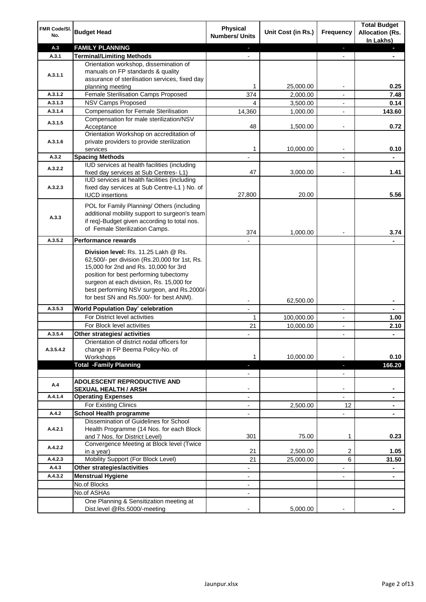| FMR Code/SI.<br>No.  | <b>Budget Head</b>                                                                                                                                                                                                                                                                                            | Physical<br><b>Numbers/ Units</b>                    | Unit Cost (in Rs.) | <b>Frequency</b>              | <b>Total Budget</b><br><b>Allocation (Rs.</b><br>In Lakhs) |
|----------------------|---------------------------------------------------------------------------------------------------------------------------------------------------------------------------------------------------------------------------------------------------------------------------------------------------------------|------------------------------------------------------|--------------------|-------------------------------|------------------------------------------------------------|
| A.3                  | <b>FAMILY PLANNING</b>                                                                                                                                                                                                                                                                                        | $\sim$                                               |                    | $\blacksquare$                | $\sim$                                                     |
| A.3.1                | <b>Terminal/Limiting Methods</b>                                                                                                                                                                                                                                                                              |                                                      |                    |                               |                                                            |
| A.3.1.1              | Orientation workshop, dissemination of<br>manuals on FP standards & quality<br>assurance of sterilisation services, fixed day<br>planning meeting                                                                                                                                                             | 1                                                    | 25,000.00          | $\overline{\phantom{a}}$      | 0.25                                                       |
| A.3.1.2              | Female Sterilisation Camps Proposed                                                                                                                                                                                                                                                                           | 374                                                  | 2,000.00           |                               | 7.48                                                       |
| A.3.1.3              | <b>NSV Camps Proposed</b>                                                                                                                                                                                                                                                                                     | 4                                                    | 3,500.00           |                               | 0.14                                                       |
| A.3.1.4              | <b>Compensation for Female Sterilisation</b>                                                                                                                                                                                                                                                                  | 14,360                                               | 1,000.00           | $\overline{\phantom{a}}$      | 143.60                                                     |
| A.3.1.5              | Compensation for male sterilization/NSV<br>Acceptance                                                                                                                                                                                                                                                         | 48                                                   | 1,500.00           |                               | 0.72                                                       |
| A.3.1.6              | Orientation Workshop on accreditation of<br>private providers to provide sterilization<br>services                                                                                                                                                                                                            | 1                                                    | 10,000.00          | $\blacksquare$                | 0.10                                                       |
| A.3.2                | <b>Spacing Methods</b>                                                                                                                                                                                                                                                                                        |                                                      |                    |                               | ٠                                                          |
| A.3.2.2              | IUD services at health facilities (including<br>fixed day services at Sub Centres-L1)                                                                                                                                                                                                                         | 47                                                   | 3,000.00           | $\overline{\phantom{a}}$      | 1.41                                                       |
| A.3.2.3              | IUD services at health facilities (including<br>fixed day services at Sub Centre-L1 ) No. of<br><b>IUCD</b> insertions                                                                                                                                                                                        | 27,800                                               | 20.00              |                               | 5.56                                                       |
| A.3.3                | POL for Family Planning/ Others (including<br>additional mobility support to surgeon's team<br>if req)-Budget given according to total nos.<br>of Female Sterilization Camps.                                                                                                                                 | 374                                                  | 1,000.00           |                               | 3.74                                                       |
| A.3.5.2              | <b>Performance rewards</b>                                                                                                                                                                                                                                                                                    |                                                      |                    |                               |                                                            |
|                      | Division level: Rs. 11.25 Lakh @ Rs.<br>62,500/- per division (Rs.20,000 for 1st, Rs.<br>15,000 for 2nd and Rs. 10,000 for 3rd<br>position for best performing tubectomy<br>surgeon at each division, Rs. 15,000 for<br>best performing NSV surgeon, and Rs.2000/-<br>for best SN and Rs.500/- for best ANM). |                                                      |                    |                               |                                                            |
|                      |                                                                                                                                                                                                                                                                                                               |                                                      | 62,500.00          |                               | ۰                                                          |
| A.3.5.3              | World Population Day' celebration                                                                                                                                                                                                                                                                             |                                                      |                    |                               |                                                            |
|                      | For District level activities                                                                                                                                                                                                                                                                                 | 1                                                    | 100,000.00         |                               | 1.00                                                       |
|                      | For Block level activities                                                                                                                                                                                                                                                                                    | 21                                                   | 10,000.00          | $\blacksquare$                | 2.10                                                       |
| A.3.5.4<br>A.3.5.4.2 | Other strategies/ activities<br>Orientation of district nodal officers for<br>change in FP Beema Policy-No. of<br>Workshops                                                                                                                                                                                   | 1                                                    | 10,000.00          |                               | 0.10                                                       |
|                      | <b>Total -Family Planning</b>                                                                                                                                                                                                                                                                                 | $\overline{\phantom{a}}$<br>$\overline{\phantom{a}}$ |                    | ٠<br>$\overline{\phantom{a}}$ | 166.20                                                     |
| A.4                  | ADOLESCENT REPRODUCTIVE AND<br><b>SEXUAL HEALTH / ARSH</b>                                                                                                                                                                                                                                                    |                                                      |                    | $\blacksquare$                |                                                            |
| A.4.1.4              | <b>Operating Expenses</b>                                                                                                                                                                                                                                                                                     |                                                      |                    |                               |                                                            |
|                      | For Existing Clinics                                                                                                                                                                                                                                                                                          | $\blacksquare$                                       | 2,500.00           | 12                            | ۰                                                          |
| A.4.2                | <b>School Health programme</b>                                                                                                                                                                                                                                                                                | $\blacksquare$                                       |                    | $\overline{a}$                |                                                            |
| A.4.2.1              | Dissemination of Guidelines for School<br>Health Programme (14 Nos. for each Block<br>and 7 Nos. for District Level)                                                                                                                                                                                          | 301                                                  | 75.00              | 1                             | 0.23                                                       |
| A.4.2.2              | Convergence Meeting at Block level (Twice<br>in a year)                                                                                                                                                                                                                                                       | 21                                                   | 2,500.00           | 2                             | 1.05                                                       |
| A.4.2.3              | Mobility Support (For Block Level)                                                                                                                                                                                                                                                                            | 21                                                   | 25,000.00          | 6                             | 31.50                                                      |
| A.4.3                | Other strategies/activities                                                                                                                                                                                                                                                                                   | $\overline{\phantom{0}}$                             |                    | -                             | ۰                                                          |
| A.4.3.2              | <b>Menstrual Hygiene</b>                                                                                                                                                                                                                                                                                      | $\overline{\phantom{a}}$                             |                    | ٠                             | ۰                                                          |
|                      | No.of Blocks                                                                                                                                                                                                                                                                                                  | $\overline{\phantom{a}}$                             |                    |                               |                                                            |
|                      | No.of ASHAs                                                                                                                                                                                                                                                                                                   | $\overline{\phantom{a}}$                             |                    |                               |                                                            |
|                      | One Planning & Sensitization meeting at<br>Dist.level @Rs.5000/-meeting                                                                                                                                                                                                                                       |                                                      | 5,000.00           |                               |                                                            |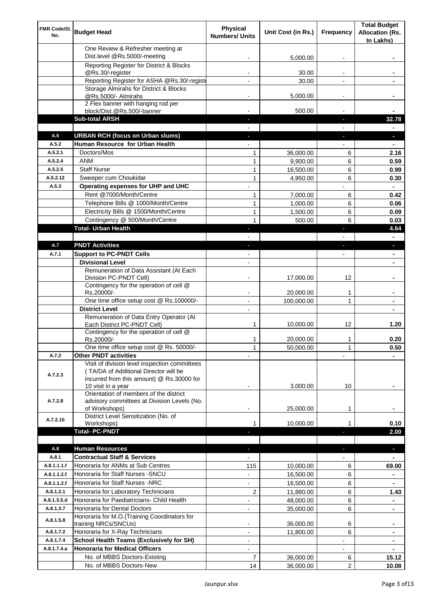| FMR Code/SI.<br>No.        | <b>Budget Head</b>                                                                                                                                        | <b>Physical</b><br><b>Numbers/ Units</b> | Unit Cost (in Rs.)     | Frequency                | <b>Total Budget</b><br><b>Allocation (Rs.</b><br>In Lakhs) |
|----------------------------|-----------------------------------------------------------------------------------------------------------------------------------------------------------|------------------------------------------|------------------------|--------------------------|------------------------------------------------------------|
|                            | One Review & Refresher meeting at<br>Dist.level @Rs.5000/-meeting                                                                                         |                                          | 5,000.00               |                          |                                                            |
|                            | Reporting Register for District & Blocks                                                                                                                  |                                          |                        |                          |                                                            |
|                            | @Rs.30/-register                                                                                                                                          |                                          | 30.00                  |                          |                                                            |
|                            | Reporting Register for ASHA @Rs.30/-regist                                                                                                                |                                          | 30.00                  | $\overline{a}$           |                                                            |
|                            | Storage Almirahs for District & Blocks<br>@Rs.5000/- Almirahs                                                                                             | $\blacksquare$                           | 5,000.00               | $\overline{\phantom{a}}$ |                                                            |
|                            | 2 Flex banner with hanging rod per                                                                                                                        |                                          |                        |                          |                                                            |
|                            | block/Dist.@Rs.500/-banner                                                                                                                                |                                          | 500.00                 |                          |                                                            |
|                            | <b>Sub-total ARSH</b>                                                                                                                                     |                                          |                        | a,                       | 32.78                                                      |
| A.5                        | <b>URBAN RCH (focus on Urban slums)</b>                                                                                                                   |                                          |                        |                          |                                                            |
| A.5.2                      | Human Resource for Urban Health                                                                                                                           |                                          |                        |                          |                                                            |
| A.5.2.1                    | Doctors/Mos                                                                                                                                               | 1                                        | 36,000.00              | 6                        | 2.16                                                       |
| A.5.2.4                    | <b>ANM</b>                                                                                                                                                | 1                                        | 9.900.00               | 6                        | 0.59                                                       |
| A.5.2.5<br>A.5.2.12        | <b>Staff Nurse</b><br>Sweeper cum Choukidar                                                                                                               | $\mathbf{1}$                             | 16,500.00              | 6                        | 0.99                                                       |
| A.5.3                      | Operating expenses for UHP and UHC                                                                                                                        | 1                                        | 4,950.00               | 6                        | 0.30<br>$\blacksquare$                                     |
|                            | Rent @7000/Month/Centre                                                                                                                                   | 1                                        | 7,000.00               | 6                        | 0.42                                                       |
|                            | Telephone Bills @ 1000/Month/Centre                                                                                                                       | 1                                        | 1,000.00               | 6                        | 0.06                                                       |
|                            | Electricity Bills @ 1500/Month/Centre                                                                                                                     | 1                                        | 1,500.00               | 6                        | 0.09                                                       |
|                            | Contingency @ 500/Month/Centre                                                                                                                            | 1                                        | 500.00                 | 6                        | 0.03                                                       |
|                            | <b>Total- Urban Health</b>                                                                                                                                | $\blacksquare$                           |                        | F                        | 4.64                                                       |
|                            |                                                                                                                                                           |                                          |                        |                          | $\blacksquare$                                             |
| A.7                        | <b>PNDT Activities</b>                                                                                                                                    | ٠                                        |                        | ×                        | ٠                                                          |
| A.7.1                      | <b>Support to PC-PNDT Cells</b>                                                                                                                           |                                          |                        | $\overline{\phantom{a}}$ | $\blacksquare$                                             |
|                            | <b>Divisional Level</b>                                                                                                                                   | $\blacksquare$                           |                        |                          | ٠                                                          |
|                            | Remuneration of Data Assistant (At Each                                                                                                                   |                                          |                        |                          |                                                            |
|                            | Division PC-PNDT Cell)<br>Contingency for the operation of cell @                                                                                         |                                          | 17,000.00              | 12                       |                                                            |
|                            | Rs.20000/-                                                                                                                                                |                                          | 20,000.00              | 1                        |                                                            |
|                            | One time office setup cost @ Rs.100000/-                                                                                                                  |                                          | 100,000.00             | 1                        |                                                            |
|                            | <b>District Level</b>                                                                                                                                     |                                          |                        |                          |                                                            |
|                            | Remuneration of Data Entry Operator (At<br>Each District PC-PNDT Cell)                                                                                    | 1                                        | 10,000.00              | 12                       | 1.20                                                       |
|                            | Contingency for the operation of cell @<br>Rs.20000/-                                                                                                     | 1                                        | 20,000.00              | 1                        | 0.20                                                       |
|                            | One time office setup cost @ Rs. 50000/-                                                                                                                  | 1                                        | 50,000.00              | 1                        | 0.50                                                       |
| A.7.2                      | <b>Other PNDT activities</b>                                                                                                                              |                                          |                        |                          |                                                            |
| A.7.2.3                    | Visit of division level inspection committees<br>(TA/DA of Additional Director will be<br>incurred from this amount) @ Rs.30000 for<br>10 visit in a year |                                          | 3,000.00               | 10                       |                                                            |
| A.7.2.8                    | Orientation of members of the district<br>advisory committees at Division Levels (No.<br>of Workshops)                                                    | -                                        | 25,000.00              | 1                        |                                                            |
|                            | District Level Sensitization (No. of                                                                                                                      |                                          |                        |                          |                                                            |
| A.7.2.10                   | Workshops)                                                                                                                                                | 1                                        | 10,000.00              |                          | 0.10                                                       |
|                            | <b>Total- PC-PNDT</b>                                                                                                                                     |                                          |                        |                          | 2.00                                                       |
|                            |                                                                                                                                                           |                                          |                        |                          |                                                            |
| A.8                        | <b>Human Resources</b>                                                                                                                                    |                                          |                        |                          | ×.                                                         |
| A.8.1                      | <b>Contractual Staff &amp; Services</b>                                                                                                                   |                                          |                        |                          |                                                            |
| A.8.1.1.1.f<br>A.8.1.1.2.f | Honoraria for ANMs at Sub Centres<br>Honoraria for Staff Nurses - SNCU                                                                                    | 115                                      | 10,000.00              | 6                        | 69.00                                                      |
| A.8.1.1.2.f                | Honoraria for Staff Nurses -NRC                                                                                                                           |                                          | 16,500.00              | 6                        |                                                            |
| A.8.1.2.1                  |                                                                                                                                                           | $\overline{\phantom{a}}$                 | 16,500.00              | 6                        |                                                            |
| A.8.1.3.5.d                | Honoraria for Laboratory Technicians<br>Honoraria for Paediatricians- Child Health                                                                        | 2                                        | 11,880.00<br>48,000.00 | 6<br>6                   | 1.43                                                       |
| A.8.1.3.7                  | Honoraria for Dental Doctors                                                                                                                              | $\blacksquare$                           | 35,000.00              | 6                        | ٠                                                          |
| A.8.1.5.8                  | Honoraria for M.O.(Training Coordinators for                                                                                                              |                                          |                        |                          |                                                            |
|                            | training NRCs/SNCUs)                                                                                                                                      |                                          | 36,000.00              | 6                        |                                                            |
| A.8.1.7.2                  | Honoraria for X-Ray Technicians                                                                                                                           |                                          | 11,800.00              | 6                        | ٠                                                          |
| A.8.1.7.4<br>A.8.1.7.4.a   | <b>School Health Teams (Exclusively for SH)</b><br><b>Honoraria for Medical Officers</b>                                                                  |                                          |                        |                          | ۰                                                          |
|                            | No. of MBBS Doctors-Existing                                                                                                                              | 7                                        | 36,000.00              | 6                        | ۰<br>15.12                                                 |
|                            | No. of MBBS Doctors-New                                                                                                                                   | 14                                       | 36,000.00              | 2                        | 10.08                                                      |
|                            |                                                                                                                                                           |                                          |                        |                          |                                                            |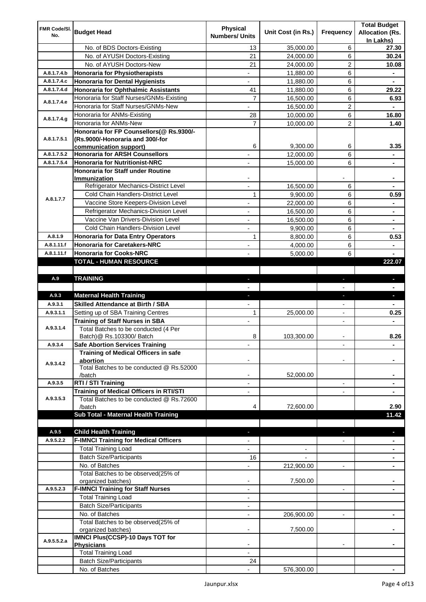| FMR Code/SI. | <b>Budget Head</b>                                        | <b>Physical</b>          |                    |                          | <b>Total Budget</b>    |
|--------------|-----------------------------------------------------------|--------------------------|--------------------|--------------------------|------------------------|
| No.          |                                                           | <b>Numbers/ Units</b>    | Unit Cost (in Rs.) | Frequency                | <b>Allocation (Rs.</b> |
|              | No. of BDS Doctors-Existing                               | 13                       | 35,000.00          | 6                        | In Lakhs)<br>27.30     |
|              | No. of AYUSH Doctors-Existing                             | 21                       | 24,000.00          | 6                        | 30.24                  |
|              | No. of AYUSH Doctors-New                                  | 21                       | 24,000.00          | 2                        | 10.08                  |
| A.8.1.7.4.b  | Honoraria for Physiotherapists                            | $\overline{\phantom{a}}$ | 11,880.00          | 6                        |                        |
| A.8.1.7.4.c  | <b>Honoraria for Dental Hygienists</b>                    | $\overline{\phantom{a}}$ | 11,880.00          | 6                        |                        |
| A.8.1.7.4.d  | Honoraria for Ophthalmic Assistants                       | 41                       | 11,880.00          | 6                        | 29.22                  |
|              | Honoraria for Staff Nurses/GNMs-Existing                  | $\overline{7}$           | 16,500.00          | 6                        | 6.93                   |
| A.8.1.7.4.e  | Honoraria for Staff Nurses/GNMs-New                       |                          | 16,500.00          | $\overline{\mathbf{c}}$  |                        |
|              | Honoraria for ANMs-Existing                               | 28                       | 10,000.00          | 6                        | 16.80                  |
| A.8.1.7.4.g  | Honoraria for ANMs-New                                    | $\overline{7}$           | 10,000.00          | $\overline{c}$           | 1.40                   |
|              | Honoraria for FP Counsellors(@ Rs.9300/-                  |                          |                    |                          |                        |
| A.8.1.7.5.1  | (Rs.9000/-Honoraria and 300/-for                          |                          |                    |                          |                        |
|              | communication support)                                    | 6                        | 9,300.00           | 6                        | 3.35                   |
| A.8.1.7.5.2  | <b>Honoraria for ARSH Counsellors</b>                     |                          | 12,000.00          | 6                        |                        |
| A.8.1.7.5.4  | <b>Honoraria for Nutritionist-NRC</b>                     |                          | 15,000.00          | 6                        | ۰                      |
|              | <b>Honoraria for Staff under Routine</b>                  |                          |                    |                          |                        |
|              | Immunization<br>Refrigerator Mechanics-District Level     |                          | 16,500.00          | 6                        |                        |
|              | Cold Chain Handlers-District Level                        | 1                        | 9,900.00           | 6                        | 0.59                   |
| A.8.1.7.7    | Vaccine Store Keepers-Division Level                      |                          | 22,000.00          | 6                        |                        |
|              | Refrigerator Mechanics-Division Level                     | $\blacksquare$           | 16,500.00          | 6                        | $\blacksquare$         |
|              | Vaccine Van Drivers-Division Level                        | $\overline{\phantom{a}}$ | 16,500.00          | 6                        | ۰                      |
|              | Cold Chain Handlers-Division Level                        | $\blacksquare$           | 9,900.00           | 6                        | ۰                      |
| A.8.1.9      | <b>Honoraria for Data Entry Operators</b>                 | 1                        | 8,800.00           | 6                        | 0.53                   |
| A.8.1.11.f   | <b>Honoraria for Caretakers-NRC</b>                       | $\overline{\phantom{a}}$ | 4,000.00           | 6                        | ä,                     |
| A.8.1.11.f   | <b>Honoraria for Cooks-NRC</b>                            |                          | 5,000.00           | 6                        |                        |
|              | <b>TOTAL - HUMAN RESOURCE</b>                             |                          |                    |                          | 222.07                 |
|              |                                                           |                          |                    |                          |                        |
| A.9          | <b>TRAINING</b>                                           | ٠                        |                    | ٠                        | ٠                      |
|              |                                                           |                          |                    |                          |                        |
| A.9.3        | <b>Maternal Health Training</b>                           | ٠                        |                    | ٠                        | ٠                      |
| A.9.3.1      | <b>Skilled Attendance at Birth / SBA</b>                  |                          |                    |                          |                        |
| A.9.3.1.1    | Setting up of SBA Training Centres                        | 1                        | 25,000.00          | $\overline{\phantom{0}}$ | 0.25                   |
|              | <b>Training of Staff Nurses in SBA</b>                    | $\blacksquare$           |                    |                          |                        |
| A.9.3.1.4    | Total Batches to be conducted (4 Per                      |                          |                    |                          |                        |
|              | Batch)@ Rs.103300/ Batch                                  | 8                        | 103,300.00         |                          | 8.26                   |
| A.9.3.4      | <b>Safe Abortion Services Training</b>                    |                          |                    |                          |                        |
|              | Training of Medical Officers in safe                      |                          |                    |                          |                        |
| A.9.3.4.2    | abortion<br>Total Batches to be conducted @ Rs.52000      |                          |                    |                          |                        |
|              | /batch                                                    |                          | 52,000.00          |                          |                        |
| A.9.3.5      | RTI / STI Training                                        |                          |                    | $\overline{\phantom{a}}$ |                        |
|              | <b>Training of Medical Officers in RTI/STI</b>            |                          |                    |                          |                        |
| A.9.3.5.3    | Total Batches to be conducted @ Rs.72600                  |                          |                    |                          |                        |
|              | /batch                                                    | 4                        | 72,600.00          |                          | 2.90                   |
|              | Sub Total - Maternal Health Training                      |                          |                    |                          | 11.42                  |
|              |                                                           |                          |                    |                          |                        |
| A.9.5        | <b>Child Health Training</b>                              |                          |                    |                          |                        |
| A.9.5.2.2    | <b>F-IMNCI Training for Medical Officers</b>              |                          |                    |                          |                        |
|              | <b>Total Training Load</b>                                |                          |                    |                          |                        |
|              | <b>Batch Size/Participants</b>                            | 16                       |                    |                          |                        |
|              | No. of Batches                                            |                          | 212,900.00         |                          |                        |
|              | Total Batches to be observed(25% of<br>organized batches) | $\blacksquare$           | 7,500.00           |                          |                        |
| A.9.5.2.3    | <b>F-IMNCI Training for Staff Nurses</b>                  | $\overline{\phantom{a}}$ |                    | $\overline{\phantom{a}}$ | $\blacksquare$         |
|              | <b>Total Training Load</b>                                | $\overline{\phantom{a}}$ |                    |                          |                        |
|              | <b>Batch Size/Participants</b>                            | $\overline{\phantom{a}}$ |                    |                          |                        |
|              | No. of Batches                                            | $\overline{\phantom{a}}$ | 206,900.00         |                          |                        |
|              | Total Batches to be observed(25% of                       |                          |                    |                          |                        |
|              | organized batches)                                        |                          | 7,500.00           |                          |                        |
| A.9.5.5.2.a  | <b>IMNCI Plus(CCSP)-10 Days TOT for</b>                   |                          |                    |                          |                        |
|              | <b>Physicians</b>                                         |                          |                    |                          |                        |
|              | <b>Total Training Load</b>                                |                          |                    |                          |                        |
|              | <b>Batch Size/Participants</b>                            | 24                       |                    |                          |                        |
|              | No. of Batches                                            |                          | 576,300.00         |                          |                        |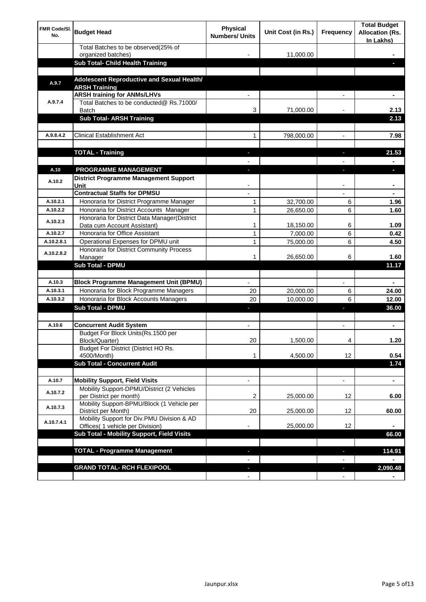| <b>FMR Code/SI.</b><br>No. | <b>Budget Head</b>                                                                  | Physical<br><b>Numbers/ Units</b> | Unit Cost (in Rs.) | Frequency                      | <b>Total Budget</b><br><b>Allocation (Rs.</b><br>In Lakhs) |
|----------------------------|-------------------------------------------------------------------------------------|-----------------------------------|--------------------|--------------------------------|------------------------------------------------------------|
|                            | Total Batches to be observed(25% of<br>organized batches)                           |                                   | 11,000.00          |                                |                                                            |
|                            | Sub Total- Child Health Training                                                    |                                   |                    |                                |                                                            |
|                            |                                                                                     |                                   |                    |                                |                                                            |
| A.9.7                      | Adolescent Reproductive and Sexual Health/<br><b>ARSH Training</b>                  |                                   |                    |                                |                                                            |
|                            | <b>ARSH training for ANMs/LHVs</b>                                                  |                                   |                    |                                |                                                            |
| A.9.7.4                    | Total Batches to be conducted@ Rs.71000/<br><b>Batch</b>                            | 3                                 | 71,000.00          |                                | 2.13                                                       |
|                            | <b>Sub Total- ARSH Training</b>                                                     |                                   |                    |                                | 2.13                                                       |
|                            |                                                                                     |                                   |                    |                                |                                                            |
| A.9.8.4.2                  | <b>Clinical Establishment Act</b>                                                   | 1                                 | 798,000.00         |                                | 7.98                                                       |
|                            | <b>TOTAL - Training</b>                                                             |                                   |                    |                                | 21.53                                                      |
|                            |                                                                                     |                                   |                    |                                |                                                            |
| A.10                       | <b>PROGRAMME MANAGEMENT</b>                                                         |                                   |                    |                                |                                                            |
| A.10.2                     | District Programme Management Support<br>Unit                                       |                                   |                    |                                |                                                            |
|                            | <b>Contractual Staffs for DPMSU</b>                                                 |                                   |                    |                                |                                                            |
| A.10.2.1                   | Honoraria for District Programme Manager                                            | 1                                 | 32,700.00          | 6                              | 1.96                                                       |
| A.10.2.2                   | Honoraria for District Accounts Manager                                             | 1                                 | 26,650.00          | 6                              | 1.60                                                       |
| A.10.2.3                   | Honoraria for District Data Manager(District<br>Data cum Account Assistant)         | 1                                 | 18,150.00          | 6                              | 1.09                                                       |
| A.10.2.7                   | Honoraria for Office Assistant                                                      | 1                                 | 7,000.00           | 6                              | 0.42                                                       |
| A.10.2.8.1                 | Operational Expenses for DPMU unit                                                  | 1                                 | 75,000.00          | 6                              | 4.50                                                       |
| A.10.2.8.2                 | Honoraria for District Community Process                                            | 1                                 |                    | 6                              | 1.60                                                       |
|                            | Manager<br>Sub Total - DPMU                                                         |                                   | 26,650.00          |                                | 11.17                                                      |
|                            |                                                                                     |                                   |                    |                                |                                                            |
| A.10.3                     | <b>Block Programme Management Unit (BPMU)</b>                                       | $\blacksquare$                    |                    | $\overline{\phantom{a}}$       | $\blacksquare$                                             |
| A.10.3.1                   | Honoraria for Block Programme Managers                                              | 20                                | 20,000.00          | 6                              | 24.00                                                      |
| A.10.3.2                   | Honoraria for Block Accounts Managers                                               | 20                                | 10,000.00          | 6                              | 12.00                                                      |
|                            | <b>Sub Total - DPMU</b>                                                             | ٠                                 |                    | J,                             | 36.00                                                      |
|                            |                                                                                     |                                   |                    |                                |                                                            |
| A.10.6                     | <b>Concurrent Audit System</b>                                                      | $\blacksquare$                    |                    | $\blacksquare$                 | ۰                                                          |
|                            | Budget For Block Units(Rs.1500 per<br>Block/Quarter)                                | 20                                | 1,500.00           | 4                              | 1.20                                                       |
|                            | Budget For District (District HO Rs.<br>4500/Month)                                 | 1                                 | 4,500.00           | 12                             | 0.54                                                       |
|                            | <b>Sub Total - Concurrent Audit</b>                                                 |                                   |                    |                                | 1.74                                                       |
|                            |                                                                                     |                                   |                    |                                |                                                            |
| A.10.7<br>A.10.7.2         | <b>Mobility Support, Field Visits</b><br>Mobility Support-DPMU/District (2 Vehicles | $\overline{\phantom{a}}$          |                    | $\overline{\phantom{a}}$       | $\blacksquare$                                             |
|                            | per District per month)                                                             | 2                                 | 25,000.00          | 12                             | 6.00                                                       |
| A.10.7.3                   | Mobility Support-BPMU/Block (1 Vehicle per<br>District per Month)                   | 20                                | 25,000.00          | 12                             | 60.00                                                      |
| A.10.7.4.1                 | Mobility Support for Div.PMU Division & AD<br>Offices( 1 vehicle per Division)      |                                   | 25,000.00          | 12                             |                                                            |
|                            | Sub Total - Mobility Support, Field Visits                                          |                                   |                    |                                | 66.00                                                      |
|                            |                                                                                     |                                   |                    |                                |                                                            |
|                            | <b>TOTAL - Programme Management</b>                                                 |                                   |                    | ı                              | 114.91                                                     |
|                            | <b>GRAND TOTAL- RCH FLEXIPOOL</b>                                                   |                                   |                    |                                |                                                            |
|                            |                                                                                     | ٠<br>$\blacksquare$               |                    | H,<br>$\overline{\phantom{a}}$ | 2,090.48                                                   |
|                            |                                                                                     |                                   |                    |                                |                                                            |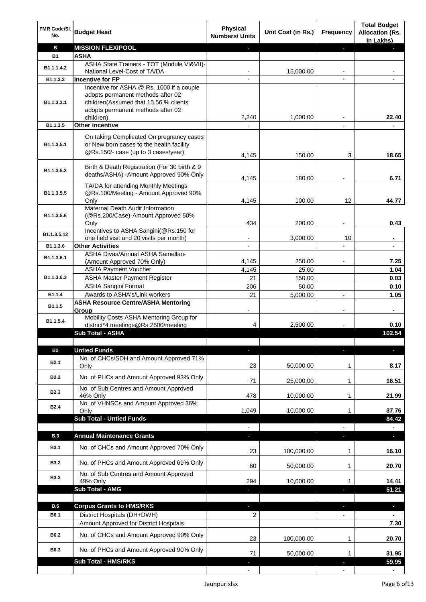| FMR Code/SI.<br>No. | <b>Budget Head</b>                                                                                                          | <b>Physical</b><br><b>Numbers/ Units</b> | Unit Cost (in Rs.) | Frequency                | <b>Total Budget</b><br><b>Allocation (Rs.</b><br>In Lakhs) |
|---------------------|-----------------------------------------------------------------------------------------------------------------------------|------------------------------------------|--------------------|--------------------------|------------------------------------------------------------|
| в                   | <b>MISSION FLEXIPOOL</b>                                                                                                    |                                          |                    | ÷.                       |                                                            |
| <b>B1</b>           | <b>ASHA</b>                                                                                                                 |                                          |                    |                          |                                                            |
| B1.1.1.4.2          | ASHA State Trainers - TOT (Module VI&VII)-                                                                                  |                                          |                    |                          |                                                            |
| B1.1.3.3            | National Level-Cost of TA/DA<br><b>Incentive for FP</b>                                                                     |                                          | 15,000.00          |                          |                                                            |
|                     | Incentive for ASHA @ Rs. 1000 if a couple                                                                                   |                                          |                    |                          |                                                            |
| B1.1.3.3.1          | adopts permanent methods after 02<br>children(Assumed that 15.56 % clients<br>adopts permanent methods after 02             |                                          |                    |                          |                                                            |
|                     | children).                                                                                                                  | 2,240                                    | 1,000.00           |                          | 22.40                                                      |
| B1.1.3.5            | <b>Other incentive</b>                                                                                                      |                                          |                    |                          |                                                            |
| B1.1.3.5.1          | On taking Complicated On pregnancy cases<br>or New born cases to the health facility<br>@Rs.150/- case (up to 3 cases/year) | 4,145                                    | 150.00             | 3                        | 18.65                                                      |
| B1.1.3.5.3          | Birth & Death Registration (For 30 birth & 9<br>deaths/ASHA) -Amount Approved 90% Only                                      | 4,145                                    | 180.00             |                          | 6.71                                                       |
| B1.1.3.5.5          | TA/DA for attending Monthly Meetings<br>@Rs.100/Meeting - Amount Approved 90%<br>Only                                       | 4,145                                    | 100.00             | 12                       | 44.77                                                      |
|                     | Maternal Death Audit Information                                                                                            |                                          |                    |                          |                                                            |
| B1.1.3.5.6          | (@Rs.200/Case)-Amount Approved 50%                                                                                          |                                          |                    |                          |                                                            |
|                     | Only                                                                                                                        | 434                                      | 200.00             |                          | 0.43                                                       |
| B1.1.3.5.12         | Incentives to ASHA Sangini(@Rs.150 for                                                                                      |                                          |                    |                          |                                                            |
| B1.1.3.6            | one field visit and 20 visits per month)<br><b>Other Activities</b>                                                         |                                          | 3,000.00           | 10                       |                                                            |
|                     | ASHA Divas/Annual ASHA Samellan-                                                                                            |                                          |                    |                          |                                                            |
| B1.1.3.6.1          | (Amount Approved 70% Only)                                                                                                  | 4,145                                    | 250.00             |                          | 7.25                                                       |
|                     | <b>ASHA Payment Voucher</b>                                                                                                 | 4,145                                    | 25.00              |                          | 1.04                                                       |
| B1.1.3.6.3          | <b>ASHA Master Payment Register</b>                                                                                         | 21                                       | 150.00             |                          | 0.03                                                       |
|                     | <b>ASHA Sangini Format</b>                                                                                                  | 206                                      | 50.00              |                          | 0.10                                                       |
| B1.1.4              | Awards to ASHA's/Link workers                                                                                               | 21                                       | 5,000.00           | $\blacksquare$           | 1.05                                                       |
| B1.1.5              | <b>ASHA Resource Centre/ASHA Mentoring</b><br>Group                                                                         | $\overline{\phantom{a}}$                 |                    | $\overline{\phantom{a}}$ | $\blacksquare$                                             |
| B1.1.5.4            | Mobility Costs ASHA Mentoring Group for<br>district*4 meetings@Rs.2500/meeting                                              | 4                                        | 2,500.00           |                          | 0.10                                                       |
|                     | <b>Sub Total - ASHA</b>                                                                                                     |                                          |                    |                          | 102.54                                                     |
|                     |                                                                                                                             |                                          |                    |                          |                                                            |
| <b>B2</b>           | <b>Untied Funds</b>                                                                                                         |                                          |                    |                          |                                                            |
| <b>B2.1</b>         | No. of CHCs/SDH and Amount Approved 71%<br>Only                                                                             | 23                                       | 50,000.00          | 1                        | 8.17                                                       |
| <b>B2.2</b>         | No. of PHCs and Amount Approved 93% Only                                                                                    | 71                                       | 25,000.00          | 1                        | 16.51                                                      |
| B <sub>2.3</sub>    | No. of Sub Centres and Amount Approved                                                                                      |                                          |                    |                          |                                                            |
|                     | 46% Only                                                                                                                    | 478                                      | 10,000.00          | 1                        | 21.99                                                      |
| <b>B2.4</b>         | No. of VHNSCs and Amount Approved 36%<br>Only                                                                               | 1,049                                    | 10,000.00          | 1                        | 37.76                                                      |
|                     | <b>Sub Total - Untied Funds</b>                                                                                             |                                          |                    |                          | 84.42                                                      |
|                     |                                                                                                                             |                                          |                    |                          |                                                            |
| <b>B.3</b>          | <b>Annual Maintenance Grants</b>                                                                                            | ÷.                                       |                    | T                        | ٠                                                          |
| <b>B3.1</b>         | No. of CHCs and Amount Approved 70% Only                                                                                    | 23                                       | 100,000.00         | 1                        | 16.10                                                      |
| <b>B3.2</b>         | No. of PHCs and Amount Approved 69% Only                                                                                    | 60                                       | 50,000.00          | 1                        | 20.70                                                      |
| <b>B3.3</b>         | No. of Sub Centres and Amount Approved                                                                                      |                                          |                    |                          |                                                            |
|                     | 49% Only                                                                                                                    | 294                                      | 10,000.00          | 1                        | 14.41                                                      |
|                     | Sub Total - AMG                                                                                                             |                                          |                    |                          | 51.21                                                      |
| B.6                 | <b>Corpus Grants to HMS/RKS</b>                                                                                             | J,                                       |                    |                          |                                                            |
| B6.1                | District Hospitals (DH+DWH)                                                                                                 | 2                                        |                    | ٠                        | ٠                                                          |
|                     | Amount Approved for District Hospitals                                                                                      |                                          |                    |                          | 7.30                                                       |
|                     |                                                                                                                             |                                          |                    |                          |                                                            |
| B6.2                | No. of CHCs and Amount Approved 90% Only                                                                                    | 23                                       | 100,000.00         | 1                        | 20.70                                                      |
| B6.3                | No. of PHCs and Amount Approved 90% Only                                                                                    | 71                                       | 50,000.00          | 1                        | 31.95                                                      |
|                     | Sub Total - HMS/RKS                                                                                                         |                                          |                    |                          | 59.95                                                      |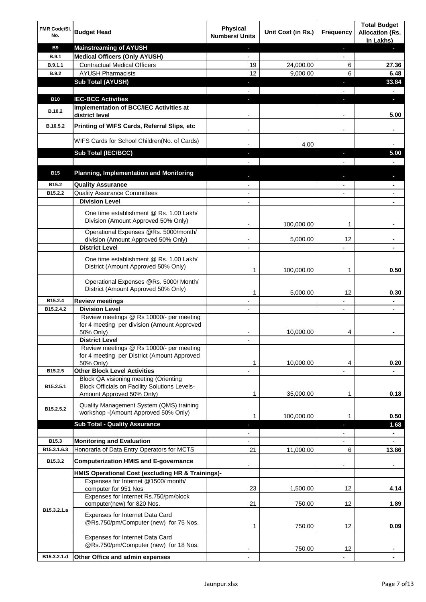| FMR Code/SI.<br>No. | <b>Budget Head</b>                                                                                                                | Physical<br><b>Numbers/ Units</b> | Unit Cost (in Rs.) | <b>Frequency</b>         | <b>Total Budget</b><br><b>Allocation (Rs.</b><br>In Lakhs) |
|---------------------|-----------------------------------------------------------------------------------------------------------------------------------|-----------------------------------|--------------------|--------------------------|------------------------------------------------------------|
| <b>B9</b>           | <b>Mainstreaming of AYUSH</b>                                                                                                     | $\blacksquare$                    |                    | ٠                        | a,                                                         |
| <b>B.9.1</b>        | <b>Medical Officers (Only AYUSH)</b>                                                                                              | $\blacksquare$                    |                    | $\blacksquare$           |                                                            |
| B.9.1.1             | <b>Contractual Medical Officers</b>                                                                                               | 19                                | 24,000.00          | 6                        | 27.36                                                      |
| <b>B.9.2</b>        | <b>AYUSH Pharmacists</b>                                                                                                          | 12                                | 9,000.00           | 6                        | 6.48                                                       |
|                     | <b>Sub Total (AYUSH)</b>                                                                                                          | ٠                                 |                    | ı                        | 33.84                                                      |
|                     |                                                                                                                                   |                                   |                    |                          | ۰                                                          |
| <b>B10</b>          | <b>IEC-BCC Activities</b><br>Implementation of BCC/IEC Activities at                                                              | r.                                |                    | ı                        | ÷.                                                         |
| B.10.2              | district level                                                                                                                    |                                   |                    | $\overline{a}$           | 5.00                                                       |
| B.10.5.2            | Printing of WIFS Cards, Referral Slips, etc                                                                                       | $\blacksquare$                    |                    | $\overline{\phantom{a}}$ | ۰                                                          |
|                     | WIFS Cards for School Children(No. of Cards)                                                                                      |                                   | 4.00               |                          |                                                            |
|                     | Sub Total (IEC/BCC)                                                                                                               |                                   |                    |                          | 5.00                                                       |
|                     |                                                                                                                                   |                                   |                    |                          |                                                            |
| <b>B15</b>          | <b>Planning, Implementation and Monitoring</b>                                                                                    |                                   |                    |                          |                                                            |
| B15.2               | <b>Quality Assurance</b>                                                                                                          |                                   |                    |                          | ۰                                                          |
| B15.2.2             | <b>Quality Assurance Committees</b>                                                                                               | $\overline{\phantom{a}}$          |                    |                          | ۰                                                          |
|                     | <b>Division Level</b>                                                                                                             |                                   |                    |                          |                                                            |
|                     | One time establishment @ Rs. 1.00 Lakh/<br>Division (Amount Approved 50% Only)                                                    |                                   | 100,000.00         | 1                        |                                                            |
|                     | Operational Expenses @Rs. 5000/month/                                                                                             |                                   |                    |                          |                                                            |
|                     | division (Amount Approved 50% Only)                                                                                               |                                   | 5,000.00           | 12                       |                                                            |
|                     | <b>District Level</b>                                                                                                             |                                   |                    |                          |                                                            |
|                     | One time establishment @ Rs. 1.00 Lakh/<br>District (Amount Approved 50% Only)                                                    | 1                                 | 100,000.00         | 1                        | 0.50                                                       |
|                     | Operational Expenses @Rs. 5000/ Month/<br>District (Amount Approved 50% Only)                                                     | 1                                 | 5,000.00           | 12                       | 0.30                                                       |
| B15.2.4             | <b>Review meetings</b>                                                                                                            |                                   |                    |                          | ۰                                                          |
| B15.2.4.2           | <b>Division Level</b>                                                                                                             |                                   |                    | $\overline{\phantom{a}}$ | ۰                                                          |
|                     | Review meetings @ Rs 10000/- per meeting<br>for 4 meeting per division (Amount Approved<br>50% Only)                              |                                   | 10,000.00          | 4                        |                                                            |
|                     | <b>District Level</b>                                                                                                             |                                   |                    |                          |                                                            |
|                     | Review meetings @ Rs 10000/- per meeting<br>for 4 meeting per District (Amount Approved<br>50% Only)                              | 1                                 | 10,000.00          | 4                        | 0.20                                                       |
| B15.2.5             | <b>Other Block Level Activities</b>                                                                                               |                                   |                    |                          |                                                            |
| B15.2.5.1           | <b>Block QA visioning meeting (Orienting</b><br><b>Block Officials on Facility Solutions Levels-</b><br>Amount Approved 50% Only) | 1                                 | 35,000.00          | 1                        | 0.18                                                       |
| B15.2.5.2           | Quality Management System (QMS) training<br>workshop - (Amount Approved 50% Only)                                                 | 1                                 | 100,000.00         | 1                        | 0.50                                                       |
|                     | <b>Sub Total - Quality Assurance</b>                                                                                              | ٠                                 |                    | J,                       | 1.68                                                       |
|                     |                                                                                                                                   |                                   |                    |                          | ۰                                                          |
| B15.3               | <b>Monitoring and Evaluation</b>                                                                                                  |                                   |                    |                          |                                                            |
| B15.3.1.6.3         | Honoraria of Data Entry Operators for MCTS                                                                                        | 21                                | 11,000.00          | 6                        | 13.86                                                      |
| B15.3.2             | <b>Computerization HMIS and E-governance</b>                                                                                      |                                   |                    |                          | ۰                                                          |
|                     | HMIS Operational Cost (excluding HR & Trainings)-<br>Expenses for Internet @1500/month/                                           |                                   |                    |                          |                                                            |
|                     | computer for 951 Nos                                                                                                              | 23                                | 1,500.00           | 12                       | 4.14                                                       |
|                     | Expenses for Internet Rs.750/pm/block<br>computer(new) for 820 Nos.                                                               | 21                                | 750.00             | 12                       | 1.89                                                       |
| B15.3.2.1.a         | Expenses for Internet Data Card<br>@Rs.750/pm/Computer (new) for 75 Nos.                                                          | 1                                 | 750.00             | 12                       | 0.09                                                       |
|                     | Expenses for Internet Data Card<br>@Rs.750/pm/Computer (new) for 18 Nos.                                                          |                                   | 750.00             | 12                       |                                                            |
| B15.3.2.1.d         | Other Office and admin expenses                                                                                                   |                                   |                    |                          |                                                            |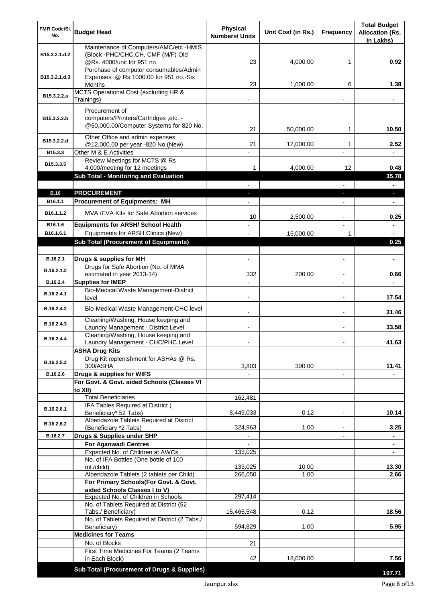| In Lakhs)<br>Maintenance of Computers/AMC/etc -HMIS<br>(Block -PHC/CHC, CH, CMF (M/F) Old<br>B15.3.2.1.d.2<br>@Rs. 4000/unit for 951 no.<br>4,000.00<br>0.92<br>23<br>1<br>Purchase of computer consumables/Admin<br>Expenses @ Rs.1000.00 for 951 no.-Six<br>B15.3.2.1.d.3<br>23<br>1,000.00<br>6<br>1.38<br>Months<br>MCTS Operational Cost (excluding HR &<br>B15.3.2.2.a<br>Trainings)<br>Procurement of<br>computers/Printers/Cartridges, etc. -<br>B15.3.2.2.b<br>@50,000.00/Computer Systems for 820 No.<br>10.50<br>21<br>50,000.00<br>1<br>Other Office and admin expenses<br>B15.3.2.2.d<br>@12,000.00 per year -820 No.(New)<br>21<br>12,000.00<br>2.52<br>1<br>Other M & E Activities<br>B15.3.3<br>Review Meetings for MCTS @ Rs<br>B15.3.3.5<br>4.000.00<br>12<br>4,000/meeting for 12 meetings<br>0.48<br>1<br>Sub Total - Monitoring and Evaluation<br>35.78<br>$\blacksquare$<br><b>PROCUREMENT</b><br><b>B.16</b><br>H,<br><b>Procurement of Equipments: MH</b><br>B16.1.1<br>٠<br>MVA/EVA Kits for Safe Abortion services<br>B <sub>16.1.1.2</sub><br>10<br>2,500.00<br>0.25<br>B16.1.6<br><b>Equipments for ARSH/ School Health</b><br>$\blacksquare$<br>Equipments for ARSH Clinics (New)<br>15,000.00<br>B16.1.6.1<br>1<br>$\blacksquare$<br><b>Sub Total (Procurement of Equipments)</b><br>0.25<br>B.16.2.1<br>Drugs & supplies for MH<br>$\blacksquare$<br>$\blacksquare$<br>$\blacksquare$<br>Drugs for Safe Abortion (No. of MMA<br>B.16.2.1.2<br>332<br>estimated in year 2013-14)<br>200.00<br>0.66<br><b>Supplies for IMEP</b><br>B.16.2.4<br>Bio-Medical Waste Management-District<br>B.16.2.4.1<br>17.54<br>level<br>$\overline{\phantom{0}}$<br>$\blacksquare$<br>Bio-Medical Waste Management-CHC level<br>B.16.2.4.2<br>31.46<br>$\blacksquare$<br>Cleaning/Washing, House keeping and<br>B.16.2.4.3<br>33.58<br>Laundry Management - District Level<br>$\blacksquare$<br>Cleaning/Washing, House keeping and<br>B.16.2.4.4<br>Laundry Management - CHC/PHC Level<br>41.63<br><b>ASHA Drug Kits</b><br>Drug Kit replenishment for ASHAs @ Rs.<br>B.16.2.5.2<br>300/ASHA<br>300.00<br>11.41<br>3,803<br>B.16.2.6<br>Drugs & supplies for WIFS<br>$\overline{\phantom{a}}$<br>For Govt. & Govt. aided Schools (Classes VI<br>to XII)<br><b>Total Beneficiaries</b><br>162,481<br>IFA Tables Required at District (<br>B.16.2.6.1<br>10.14<br>Beneficiary* 52 Tabs)<br>0.12<br>8,449,033<br>$\overline{a}$<br>Albendazole Tablets Required at District<br>B.16.2.6.2<br>324,963<br>1.00<br>3.25<br>(Beneficiary *2 Tabs)<br>Drugs & Supplies under SHP<br>B.16.2.7<br><b>For Aganwadi Centres</b><br>Expected No. of Children at AWCs<br>133,025<br>٠<br>No. of IFA Bottles (One bottle of 100<br>ml./child)<br>13.30<br>133,025<br>10.00<br>Albendazole Tablets (2 tablets per Child)<br>266,050<br>2.66<br>1.00<br>For Primary Schools(For Govt. & Govt.<br>aided Schools Classes I to V)<br>Expected No. of Children in Schools<br>297,414<br>No. of Tablets Required at District (52<br>0.12<br>18.56<br>Tabs./ Beneficiary)<br>15,465,548<br>No. of Tablets Required at District (2 Tabs./<br>5.95<br>594,829<br>1.00<br>Beneficiary)<br><b>Medicines for Teams</b><br>No. of Blocks<br>21<br>First Time Medicines For Teams (2 Teams<br>7.56<br>in Each Block)<br>42<br>18,000.00<br>Sub Total (Procurement of Drugs & Supplies)<br>197.71 | FMR Code/SI.<br>No. | <b>Budget Head</b> | <b>Physical</b><br><b>Numbers/ Units</b> | Unit Cost (in Rs.) | <b>Frequency</b> | <b>Total Budget</b><br><b>Allocation (Rs.</b> |
|----------------------------------------------------------------------------------------------------------------------------------------------------------------------------------------------------------------------------------------------------------------------------------------------------------------------------------------------------------------------------------------------------------------------------------------------------------------------------------------------------------------------------------------------------------------------------------------------------------------------------------------------------------------------------------------------------------------------------------------------------------------------------------------------------------------------------------------------------------------------------------------------------------------------------------------------------------------------------------------------------------------------------------------------------------------------------------------------------------------------------------------------------------------------------------------------------------------------------------------------------------------------------------------------------------------------------------------------------------------------------------------------------------------------------------------------------------------------------------------------------------------------------------------------------------------------------------------------------------------------------------------------------------------------------------------------------------------------------------------------------------------------------------------------------------------------------------------------------------------------------------------------------------------------------------------------------------------------------------------------------------------------------------------------------------------------------------------------------------------------------------------------------------------------------------------------------------------------------------------------------------------------------------------------------------------------------------------------------------------------------------------------------------------------------------------------------------------------------------------------------------------------------------------------------------------------------------------------------------------------------------------------------------------------------------------------------------------------------------------------------------------------------------------------------------------------------------------------------------------------------------------------------------------------------------------------------------------------------------------------------------------------------------------------------------------------------------------------------------------------------------------------------------------------------------------------------------------------------------------------------------------------------------------------------------------------------------------------------------------------------------|---------------------|--------------------|------------------------------------------|--------------------|------------------|-----------------------------------------------|
|                                                                                                                                                                                                                                                                                                                                                                                                                                                                                                                                                                                                                                                                                                                                                                                                                                                                                                                                                                                                                                                                                                                                                                                                                                                                                                                                                                                                                                                                                                                                                                                                                                                                                                                                                                                                                                                                                                                                                                                                                                                                                                                                                                                                                                                                                                                                                                                                                                                                                                                                                                                                                                                                                                                                                                                                                                                                                                                                                                                                                                                                                                                                                                                                                                                                                                                                                                                  |                     |                    |                                          |                    |                  |                                               |
|                                                                                                                                                                                                                                                                                                                                                                                                                                                                                                                                                                                                                                                                                                                                                                                                                                                                                                                                                                                                                                                                                                                                                                                                                                                                                                                                                                                                                                                                                                                                                                                                                                                                                                                                                                                                                                                                                                                                                                                                                                                                                                                                                                                                                                                                                                                                                                                                                                                                                                                                                                                                                                                                                                                                                                                                                                                                                                                                                                                                                                                                                                                                                                                                                                                                                                                                                                                  |                     |                    |                                          |                    |                  |                                               |
|                                                                                                                                                                                                                                                                                                                                                                                                                                                                                                                                                                                                                                                                                                                                                                                                                                                                                                                                                                                                                                                                                                                                                                                                                                                                                                                                                                                                                                                                                                                                                                                                                                                                                                                                                                                                                                                                                                                                                                                                                                                                                                                                                                                                                                                                                                                                                                                                                                                                                                                                                                                                                                                                                                                                                                                                                                                                                                                                                                                                                                                                                                                                                                                                                                                                                                                                                                                  |                     |                    |                                          |                    |                  |                                               |
|                                                                                                                                                                                                                                                                                                                                                                                                                                                                                                                                                                                                                                                                                                                                                                                                                                                                                                                                                                                                                                                                                                                                                                                                                                                                                                                                                                                                                                                                                                                                                                                                                                                                                                                                                                                                                                                                                                                                                                                                                                                                                                                                                                                                                                                                                                                                                                                                                                                                                                                                                                                                                                                                                                                                                                                                                                                                                                                                                                                                                                                                                                                                                                                                                                                                                                                                                                                  |                     |                    |                                          |                    |                  |                                               |
|                                                                                                                                                                                                                                                                                                                                                                                                                                                                                                                                                                                                                                                                                                                                                                                                                                                                                                                                                                                                                                                                                                                                                                                                                                                                                                                                                                                                                                                                                                                                                                                                                                                                                                                                                                                                                                                                                                                                                                                                                                                                                                                                                                                                                                                                                                                                                                                                                                                                                                                                                                                                                                                                                                                                                                                                                                                                                                                                                                                                                                                                                                                                                                                                                                                                                                                                                                                  |                     |                    |                                          |                    |                  |                                               |
|                                                                                                                                                                                                                                                                                                                                                                                                                                                                                                                                                                                                                                                                                                                                                                                                                                                                                                                                                                                                                                                                                                                                                                                                                                                                                                                                                                                                                                                                                                                                                                                                                                                                                                                                                                                                                                                                                                                                                                                                                                                                                                                                                                                                                                                                                                                                                                                                                                                                                                                                                                                                                                                                                                                                                                                                                                                                                                                                                                                                                                                                                                                                                                                                                                                                                                                                                                                  |                     |                    |                                          |                    |                  |                                               |
|                                                                                                                                                                                                                                                                                                                                                                                                                                                                                                                                                                                                                                                                                                                                                                                                                                                                                                                                                                                                                                                                                                                                                                                                                                                                                                                                                                                                                                                                                                                                                                                                                                                                                                                                                                                                                                                                                                                                                                                                                                                                                                                                                                                                                                                                                                                                                                                                                                                                                                                                                                                                                                                                                                                                                                                                                                                                                                                                                                                                                                                                                                                                                                                                                                                                                                                                                                                  |                     |                    |                                          |                    |                  |                                               |
|                                                                                                                                                                                                                                                                                                                                                                                                                                                                                                                                                                                                                                                                                                                                                                                                                                                                                                                                                                                                                                                                                                                                                                                                                                                                                                                                                                                                                                                                                                                                                                                                                                                                                                                                                                                                                                                                                                                                                                                                                                                                                                                                                                                                                                                                                                                                                                                                                                                                                                                                                                                                                                                                                                                                                                                                                                                                                                                                                                                                                                                                                                                                                                                                                                                                                                                                                                                  |                     |                    |                                          |                    |                  |                                               |
|                                                                                                                                                                                                                                                                                                                                                                                                                                                                                                                                                                                                                                                                                                                                                                                                                                                                                                                                                                                                                                                                                                                                                                                                                                                                                                                                                                                                                                                                                                                                                                                                                                                                                                                                                                                                                                                                                                                                                                                                                                                                                                                                                                                                                                                                                                                                                                                                                                                                                                                                                                                                                                                                                                                                                                                                                                                                                                                                                                                                                                                                                                                                                                                                                                                                                                                                                                                  |                     |                    |                                          |                    |                  |                                               |
|                                                                                                                                                                                                                                                                                                                                                                                                                                                                                                                                                                                                                                                                                                                                                                                                                                                                                                                                                                                                                                                                                                                                                                                                                                                                                                                                                                                                                                                                                                                                                                                                                                                                                                                                                                                                                                                                                                                                                                                                                                                                                                                                                                                                                                                                                                                                                                                                                                                                                                                                                                                                                                                                                                                                                                                                                                                                                                                                                                                                                                                                                                                                                                                                                                                                                                                                                                                  |                     |                    |                                          |                    |                  |                                               |
|                                                                                                                                                                                                                                                                                                                                                                                                                                                                                                                                                                                                                                                                                                                                                                                                                                                                                                                                                                                                                                                                                                                                                                                                                                                                                                                                                                                                                                                                                                                                                                                                                                                                                                                                                                                                                                                                                                                                                                                                                                                                                                                                                                                                                                                                                                                                                                                                                                                                                                                                                                                                                                                                                                                                                                                                                                                                                                                                                                                                                                                                                                                                                                                                                                                                                                                                                                                  |                     |                    |                                          |                    |                  |                                               |
|                                                                                                                                                                                                                                                                                                                                                                                                                                                                                                                                                                                                                                                                                                                                                                                                                                                                                                                                                                                                                                                                                                                                                                                                                                                                                                                                                                                                                                                                                                                                                                                                                                                                                                                                                                                                                                                                                                                                                                                                                                                                                                                                                                                                                                                                                                                                                                                                                                                                                                                                                                                                                                                                                                                                                                                                                                                                                                                                                                                                                                                                                                                                                                                                                                                                                                                                                                                  |                     |                    |                                          |                    |                  |                                               |
|                                                                                                                                                                                                                                                                                                                                                                                                                                                                                                                                                                                                                                                                                                                                                                                                                                                                                                                                                                                                                                                                                                                                                                                                                                                                                                                                                                                                                                                                                                                                                                                                                                                                                                                                                                                                                                                                                                                                                                                                                                                                                                                                                                                                                                                                                                                                                                                                                                                                                                                                                                                                                                                                                                                                                                                                                                                                                                                                                                                                                                                                                                                                                                                                                                                                                                                                                                                  |                     |                    |                                          |                    |                  |                                               |
|                                                                                                                                                                                                                                                                                                                                                                                                                                                                                                                                                                                                                                                                                                                                                                                                                                                                                                                                                                                                                                                                                                                                                                                                                                                                                                                                                                                                                                                                                                                                                                                                                                                                                                                                                                                                                                                                                                                                                                                                                                                                                                                                                                                                                                                                                                                                                                                                                                                                                                                                                                                                                                                                                                                                                                                                                                                                                                                                                                                                                                                                                                                                                                                                                                                                                                                                                                                  |                     |                    |                                          |                    |                  |                                               |
|                                                                                                                                                                                                                                                                                                                                                                                                                                                                                                                                                                                                                                                                                                                                                                                                                                                                                                                                                                                                                                                                                                                                                                                                                                                                                                                                                                                                                                                                                                                                                                                                                                                                                                                                                                                                                                                                                                                                                                                                                                                                                                                                                                                                                                                                                                                                                                                                                                                                                                                                                                                                                                                                                                                                                                                                                                                                                                                                                                                                                                                                                                                                                                                                                                                                                                                                                                                  |                     |                    |                                          |                    |                  |                                               |
|                                                                                                                                                                                                                                                                                                                                                                                                                                                                                                                                                                                                                                                                                                                                                                                                                                                                                                                                                                                                                                                                                                                                                                                                                                                                                                                                                                                                                                                                                                                                                                                                                                                                                                                                                                                                                                                                                                                                                                                                                                                                                                                                                                                                                                                                                                                                                                                                                                                                                                                                                                                                                                                                                                                                                                                                                                                                                                                                                                                                                                                                                                                                                                                                                                                                                                                                                                                  |                     |                    |                                          |                    |                  |                                               |
|                                                                                                                                                                                                                                                                                                                                                                                                                                                                                                                                                                                                                                                                                                                                                                                                                                                                                                                                                                                                                                                                                                                                                                                                                                                                                                                                                                                                                                                                                                                                                                                                                                                                                                                                                                                                                                                                                                                                                                                                                                                                                                                                                                                                                                                                                                                                                                                                                                                                                                                                                                                                                                                                                                                                                                                                                                                                                                                                                                                                                                                                                                                                                                                                                                                                                                                                                                                  |                     |                    |                                          |                    |                  |                                               |
|                                                                                                                                                                                                                                                                                                                                                                                                                                                                                                                                                                                                                                                                                                                                                                                                                                                                                                                                                                                                                                                                                                                                                                                                                                                                                                                                                                                                                                                                                                                                                                                                                                                                                                                                                                                                                                                                                                                                                                                                                                                                                                                                                                                                                                                                                                                                                                                                                                                                                                                                                                                                                                                                                                                                                                                                                                                                                                                                                                                                                                                                                                                                                                                                                                                                                                                                                                                  |                     |                    |                                          |                    |                  |                                               |
|                                                                                                                                                                                                                                                                                                                                                                                                                                                                                                                                                                                                                                                                                                                                                                                                                                                                                                                                                                                                                                                                                                                                                                                                                                                                                                                                                                                                                                                                                                                                                                                                                                                                                                                                                                                                                                                                                                                                                                                                                                                                                                                                                                                                                                                                                                                                                                                                                                                                                                                                                                                                                                                                                                                                                                                                                                                                                                                                                                                                                                                                                                                                                                                                                                                                                                                                                                                  |                     |                    |                                          |                    |                  |                                               |
|                                                                                                                                                                                                                                                                                                                                                                                                                                                                                                                                                                                                                                                                                                                                                                                                                                                                                                                                                                                                                                                                                                                                                                                                                                                                                                                                                                                                                                                                                                                                                                                                                                                                                                                                                                                                                                                                                                                                                                                                                                                                                                                                                                                                                                                                                                                                                                                                                                                                                                                                                                                                                                                                                                                                                                                                                                                                                                                                                                                                                                                                                                                                                                                                                                                                                                                                                                                  |                     |                    |                                          |                    |                  |                                               |
|                                                                                                                                                                                                                                                                                                                                                                                                                                                                                                                                                                                                                                                                                                                                                                                                                                                                                                                                                                                                                                                                                                                                                                                                                                                                                                                                                                                                                                                                                                                                                                                                                                                                                                                                                                                                                                                                                                                                                                                                                                                                                                                                                                                                                                                                                                                                                                                                                                                                                                                                                                                                                                                                                                                                                                                                                                                                                                                                                                                                                                                                                                                                                                                                                                                                                                                                                                                  |                     |                    |                                          |                    |                  |                                               |
|                                                                                                                                                                                                                                                                                                                                                                                                                                                                                                                                                                                                                                                                                                                                                                                                                                                                                                                                                                                                                                                                                                                                                                                                                                                                                                                                                                                                                                                                                                                                                                                                                                                                                                                                                                                                                                                                                                                                                                                                                                                                                                                                                                                                                                                                                                                                                                                                                                                                                                                                                                                                                                                                                                                                                                                                                                                                                                                                                                                                                                                                                                                                                                                                                                                                                                                                                                                  |                     |                    |                                          |                    |                  |                                               |
|                                                                                                                                                                                                                                                                                                                                                                                                                                                                                                                                                                                                                                                                                                                                                                                                                                                                                                                                                                                                                                                                                                                                                                                                                                                                                                                                                                                                                                                                                                                                                                                                                                                                                                                                                                                                                                                                                                                                                                                                                                                                                                                                                                                                                                                                                                                                                                                                                                                                                                                                                                                                                                                                                                                                                                                                                                                                                                                                                                                                                                                                                                                                                                                                                                                                                                                                                                                  |                     |                    |                                          |                    |                  |                                               |
|                                                                                                                                                                                                                                                                                                                                                                                                                                                                                                                                                                                                                                                                                                                                                                                                                                                                                                                                                                                                                                                                                                                                                                                                                                                                                                                                                                                                                                                                                                                                                                                                                                                                                                                                                                                                                                                                                                                                                                                                                                                                                                                                                                                                                                                                                                                                                                                                                                                                                                                                                                                                                                                                                                                                                                                                                                                                                                                                                                                                                                                                                                                                                                                                                                                                                                                                                                                  |                     |                    |                                          |                    |                  |                                               |
|                                                                                                                                                                                                                                                                                                                                                                                                                                                                                                                                                                                                                                                                                                                                                                                                                                                                                                                                                                                                                                                                                                                                                                                                                                                                                                                                                                                                                                                                                                                                                                                                                                                                                                                                                                                                                                                                                                                                                                                                                                                                                                                                                                                                                                                                                                                                                                                                                                                                                                                                                                                                                                                                                                                                                                                                                                                                                                                                                                                                                                                                                                                                                                                                                                                                                                                                                                                  |                     |                    |                                          |                    |                  |                                               |
|                                                                                                                                                                                                                                                                                                                                                                                                                                                                                                                                                                                                                                                                                                                                                                                                                                                                                                                                                                                                                                                                                                                                                                                                                                                                                                                                                                                                                                                                                                                                                                                                                                                                                                                                                                                                                                                                                                                                                                                                                                                                                                                                                                                                                                                                                                                                                                                                                                                                                                                                                                                                                                                                                                                                                                                                                                                                                                                                                                                                                                                                                                                                                                                                                                                                                                                                                                                  |                     |                    |                                          |                    |                  |                                               |
|                                                                                                                                                                                                                                                                                                                                                                                                                                                                                                                                                                                                                                                                                                                                                                                                                                                                                                                                                                                                                                                                                                                                                                                                                                                                                                                                                                                                                                                                                                                                                                                                                                                                                                                                                                                                                                                                                                                                                                                                                                                                                                                                                                                                                                                                                                                                                                                                                                                                                                                                                                                                                                                                                                                                                                                                                                                                                                                                                                                                                                                                                                                                                                                                                                                                                                                                                                                  |                     |                    |                                          |                    |                  |                                               |
|                                                                                                                                                                                                                                                                                                                                                                                                                                                                                                                                                                                                                                                                                                                                                                                                                                                                                                                                                                                                                                                                                                                                                                                                                                                                                                                                                                                                                                                                                                                                                                                                                                                                                                                                                                                                                                                                                                                                                                                                                                                                                                                                                                                                                                                                                                                                                                                                                                                                                                                                                                                                                                                                                                                                                                                                                                                                                                                                                                                                                                                                                                                                                                                                                                                                                                                                                                                  |                     |                    |                                          |                    |                  |                                               |
|                                                                                                                                                                                                                                                                                                                                                                                                                                                                                                                                                                                                                                                                                                                                                                                                                                                                                                                                                                                                                                                                                                                                                                                                                                                                                                                                                                                                                                                                                                                                                                                                                                                                                                                                                                                                                                                                                                                                                                                                                                                                                                                                                                                                                                                                                                                                                                                                                                                                                                                                                                                                                                                                                                                                                                                                                                                                                                                                                                                                                                                                                                                                                                                                                                                                                                                                                                                  |                     |                    |                                          |                    |                  |                                               |
|                                                                                                                                                                                                                                                                                                                                                                                                                                                                                                                                                                                                                                                                                                                                                                                                                                                                                                                                                                                                                                                                                                                                                                                                                                                                                                                                                                                                                                                                                                                                                                                                                                                                                                                                                                                                                                                                                                                                                                                                                                                                                                                                                                                                                                                                                                                                                                                                                                                                                                                                                                                                                                                                                                                                                                                                                                                                                                                                                                                                                                                                                                                                                                                                                                                                                                                                                                                  |                     |                    |                                          |                    |                  |                                               |
|                                                                                                                                                                                                                                                                                                                                                                                                                                                                                                                                                                                                                                                                                                                                                                                                                                                                                                                                                                                                                                                                                                                                                                                                                                                                                                                                                                                                                                                                                                                                                                                                                                                                                                                                                                                                                                                                                                                                                                                                                                                                                                                                                                                                                                                                                                                                                                                                                                                                                                                                                                                                                                                                                                                                                                                                                                                                                                                                                                                                                                                                                                                                                                                                                                                                                                                                                                                  |                     |                    |                                          |                    |                  |                                               |
|                                                                                                                                                                                                                                                                                                                                                                                                                                                                                                                                                                                                                                                                                                                                                                                                                                                                                                                                                                                                                                                                                                                                                                                                                                                                                                                                                                                                                                                                                                                                                                                                                                                                                                                                                                                                                                                                                                                                                                                                                                                                                                                                                                                                                                                                                                                                                                                                                                                                                                                                                                                                                                                                                                                                                                                                                                                                                                                                                                                                                                                                                                                                                                                                                                                                                                                                                                                  |                     |                    |                                          |                    |                  |                                               |
|                                                                                                                                                                                                                                                                                                                                                                                                                                                                                                                                                                                                                                                                                                                                                                                                                                                                                                                                                                                                                                                                                                                                                                                                                                                                                                                                                                                                                                                                                                                                                                                                                                                                                                                                                                                                                                                                                                                                                                                                                                                                                                                                                                                                                                                                                                                                                                                                                                                                                                                                                                                                                                                                                                                                                                                                                                                                                                                                                                                                                                                                                                                                                                                                                                                                                                                                                                                  |                     |                    |                                          |                    |                  |                                               |
|                                                                                                                                                                                                                                                                                                                                                                                                                                                                                                                                                                                                                                                                                                                                                                                                                                                                                                                                                                                                                                                                                                                                                                                                                                                                                                                                                                                                                                                                                                                                                                                                                                                                                                                                                                                                                                                                                                                                                                                                                                                                                                                                                                                                                                                                                                                                                                                                                                                                                                                                                                                                                                                                                                                                                                                                                                                                                                                                                                                                                                                                                                                                                                                                                                                                                                                                                                                  |                     |                    |                                          |                    |                  |                                               |
|                                                                                                                                                                                                                                                                                                                                                                                                                                                                                                                                                                                                                                                                                                                                                                                                                                                                                                                                                                                                                                                                                                                                                                                                                                                                                                                                                                                                                                                                                                                                                                                                                                                                                                                                                                                                                                                                                                                                                                                                                                                                                                                                                                                                                                                                                                                                                                                                                                                                                                                                                                                                                                                                                                                                                                                                                                                                                                                                                                                                                                                                                                                                                                                                                                                                                                                                                                                  |                     |                    |                                          |                    |                  |                                               |
|                                                                                                                                                                                                                                                                                                                                                                                                                                                                                                                                                                                                                                                                                                                                                                                                                                                                                                                                                                                                                                                                                                                                                                                                                                                                                                                                                                                                                                                                                                                                                                                                                                                                                                                                                                                                                                                                                                                                                                                                                                                                                                                                                                                                                                                                                                                                                                                                                                                                                                                                                                                                                                                                                                                                                                                                                                                                                                                                                                                                                                                                                                                                                                                                                                                                                                                                                                                  |                     |                    |                                          |                    |                  |                                               |
|                                                                                                                                                                                                                                                                                                                                                                                                                                                                                                                                                                                                                                                                                                                                                                                                                                                                                                                                                                                                                                                                                                                                                                                                                                                                                                                                                                                                                                                                                                                                                                                                                                                                                                                                                                                                                                                                                                                                                                                                                                                                                                                                                                                                                                                                                                                                                                                                                                                                                                                                                                                                                                                                                                                                                                                                                                                                                                                                                                                                                                                                                                                                                                                                                                                                                                                                                                                  |                     |                    |                                          |                    |                  |                                               |
|                                                                                                                                                                                                                                                                                                                                                                                                                                                                                                                                                                                                                                                                                                                                                                                                                                                                                                                                                                                                                                                                                                                                                                                                                                                                                                                                                                                                                                                                                                                                                                                                                                                                                                                                                                                                                                                                                                                                                                                                                                                                                                                                                                                                                                                                                                                                                                                                                                                                                                                                                                                                                                                                                                                                                                                                                                                                                                                                                                                                                                                                                                                                                                                                                                                                                                                                                                                  |                     |                    |                                          |                    |                  |                                               |
|                                                                                                                                                                                                                                                                                                                                                                                                                                                                                                                                                                                                                                                                                                                                                                                                                                                                                                                                                                                                                                                                                                                                                                                                                                                                                                                                                                                                                                                                                                                                                                                                                                                                                                                                                                                                                                                                                                                                                                                                                                                                                                                                                                                                                                                                                                                                                                                                                                                                                                                                                                                                                                                                                                                                                                                                                                                                                                                                                                                                                                                                                                                                                                                                                                                                                                                                                                                  |                     |                    |                                          |                    |                  |                                               |
|                                                                                                                                                                                                                                                                                                                                                                                                                                                                                                                                                                                                                                                                                                                                                                                                                                                                                                                                                                                                                                                                                                                                                                                                                                                                                                                                                                                                                                                                                                                                                                                                                                                                                                                                                                                                                                                                                                                                                                                                                                                                                                                                                                                                                                                                                                                                                                                                                                                                                                                                                                                                                                                                                                                                                                                                                                                                                                                                                                                                                                                                                                                                                                                                                                                                                                                                                                                  |                     |                    |                                          |                    |                  |                                               |
|                                                                                                                                                                                                                                                                                                                                                                                                                                                                                                                                                                                                                                                                                                                                                                                                                                                                                                                                                                                                                                                                                                                                                                                                                                                                                                                                                                                                                                                                                                                                                                                                                                                                                                                                                                                                                                                                                                                                                                                                                                                                                                                                                                                                                                                                                                                                                                                                                                                                                                                                                                                                                                                                                                                                                                                                                                                                                                                                                                                                                                                                                                                                                                                                                                                                                                                                                                                  |                     |                    |                                          |                    |                  |                                               |
|                                                                                                                                                                                                                                                                                                                                                                                                                                                                                                                                                                                                                                                                                                                                                                                                                                                                                                                                                                                                                                                                                                                                                                                                                                                                                                                                                                                                                                                                                                                                                                                                                                                                                                                                                                                                                                                                                                                                                                                                                                                                                                                                                                                                                                                                                                                                                                                                                                                                                                                                                                                                                                                                                                                                                                                                                                                                                                                                                                                                                                                                                                                                                                                                                                                                                                                                                                                  |                     |                    |                                          |                    |                  |                                               |
|                                                                                                                                                                                                                                                                                                                                                                                                                                                                                                                                                                                                                                                                                                                                                                                                                                                                                                                                                                                                                                                                                                                                                                                                                                                                                                                                                                                                                                                                                                                                                                                                                                                                                                                                                                                                                                                                                                                                                                                                                                                                                                                                                                                                                                                                                                                                                                                                                                                                                                                                                                                                                                                                                                                                                                                                                                                                                                                                                                                                                                                                                                                                                                                                                                                                                                                                                                                  |                     |                    |                                          |                    |                  |                                               |
|                                                                                                                                                                                                                                                                                                                                                                                                                                                                                                                                                                                                                                                                                                                                                                                                                                                                                                                                                                                                                                                                                                                                                                                                                                                                                                                                                                                                                                                                                                                                                                                                                                                                                                                                                                                                                                                                                                                                                                                                                                                                                                                                                                                                                                                                                                                                                                                                                                                                                                                                                                                                                                                                                                                                                                                                                                                                                                                                                                                                                                                                                                                                                                                                                                                                                                                                                                                  |                     |                    |                                          |                    |                  |                                               |
|                                                                                                                                                                                                                                                                                                                                                                                                                                                                                                                                                                                                                                                                                                                                                                                                                                                                                                                                                                                                                                                                                                                                                                                                                                                                                                                                                                                                                                                                                                                                                                                                                                                                                                                                                                                                                                                                                                                                                                                                                                                                                                                                                                                                                                                                                                                                                                                                                                                                                                                                                                                                                                                                                                                                                                                                                                                                                                                                                                                                                                                                                                                                                                                                                                                                                                                                                                                  |                     |                    |                                          |                    |                  |                                               |
|                                                                                                                                                                                                                                                                                                                                                                                                                                                                                                                                                                                                                                                                                                                                                                                                                                                                                                                                                                                                                                                                                                                                                                                                                                                                                                                                                                                                                                                                                                                                                                                                                                                                                                                                                                                                                                                                                                                                                                                                                                                                                                                                                                                                                                                                                                                                                                                                                                                                                                                                                                                                                                                                                                                                                                                                                                                                                                                                                                                                                                                                                                                                                                                                                                                                                                                                                                                  |                     |                    |                                          |                    |                  |                                               |
|                                                                                                                                                                                                                                                                                                                                                                                                                                                                                                                                                                                                                                                                                                                                                                                                                                                                                                                                                                                                                                                                                                                                                                                                                                                                                                                                                                                                                                                                                                                                                                                                                                                                                                                                                                                                                                                                                                                                                                                                                                                                                                                                                                                                                                                                                                                                                                                                                                                                                                                                                                                                                                                                                                                                                                                                                                                                                                                                                                                                                                                                                                                                                                                                                                                                                                                                                                                  |                     |                    |                                          |                    |                  |                                               |
|                                                                                                                                                                                                                                                                                                                                                                                                                                                                                                                                                                                                                                                                                                                                                                                                                                                                                                                                                                                                                                                                                                                                                                                                                                                                                                                                                                                                                                                                                                                                                                                                                                                                                                                                                                                                                                                                                                                                                                                                                                                                                                                                                                                                                                                                                                                                                                                                                                                                                                                                                                                                                                                                                                                                                                                                                                                                                                                                                                                                                                                                                                                                                                                                                                                                                                                                                                                  |                     |                    |                                          |                    |                  |                                               |
|                                                                                                                                                                                                                                                                                                                                                                                                                                                                                                                                                                                                                                                                                                                                                                                                                                                                                                                                                                                                                                                                                                                                                                                                                                                                                                                                                                                                                                                                                                                                                                                                                                                                                                                                                                                                                                                                                                                                                                                                                                                                                                                                                                                                                                                                                                                                                                                                                                                                                                                                                                                                                                                                                                                                                                                                                                                                                                                                                                                                                                                                                                                                                                                                                                                                                                                                                                                  |                     |                    |                                          |                    |                  |                                               |
|                                                                                                                                                                                                                                                                                                                                                                                                                                                                                                                                                                                                                                                                                                                                                                                                                                                                                                                                                                                                                                                                                                                                                                                                                                                                                                                                                                                                                                                                                                                                                                                                                                                                                                                                                                                                                                                                                                                                                                                                                                                                                                                                                                                                                                                                                                                                                                                                                                                                                                                                                                                                                                                                                                                                                                                                                                                                                                                                                                                                                                                                                                                                                                                                                                                                                                                                                                                  |                     |                    |                                          |                    |                  |                                               |
|                                                                                                                                                                                                                                                                                                                                                                                                                                                                                                                                                                                                                                                                                                                                                                                                                                                                                                                                                                                                                                                                                                                                                                                                                                                                                                                                                                                                                                                                                                                                                                                                                                                                                                                                                                                                                                                                                                                                                                                                                                                                                                                                                                                                                                                                                                                                                                                                                                                                                                                                                                                                                                                                                                                                                                                                                                                                                                                                                                                                                                                                                                                                                                                                                                                                                                                                                                                  |                     |                    |                                          |                    |                  |                                               |
|                                                                                                                                                                                                                                                                                                                                                                                                                                                                                                                                                                                                                                                                                                                                                                                                                                                                                                                                                                                                                                                                                                                                                                                                                                                                                                                                                                                                                                                                                                                                                                                                                                                                                                                                                                                                                                                                                                                                                                                                                                                                                                                                                                                                                                                                                                                                                                                                                                                                                                                                                                                                                                                                                                                                                                                                                                                                                                                                                                                                                                                                                                                                                                                                                                                                                                                                                                                  |                     |                    |                                          |                    |                  |                                               |
|                                                                                                                                                                                                                                                                                                                                                                                                                                                                                                                                                                                                                                                                                                                                                                                                                                                                                                                                                                                                                                                                                                                                                                                                                                                                                                                                                                                                                                                                                                                                                                                                                                                                                                                                                                                                                                                                                                                                                                                                                                                                                                                                                                                                                                                                                                                                                                                                                                                                                                                                                                                                                                                                                                                                                                                                                                                                                                                                                                                                                                                                                                                                                                                                                                                                                                                                                                                  |                     |                    |                                          |                    |                  |                                               |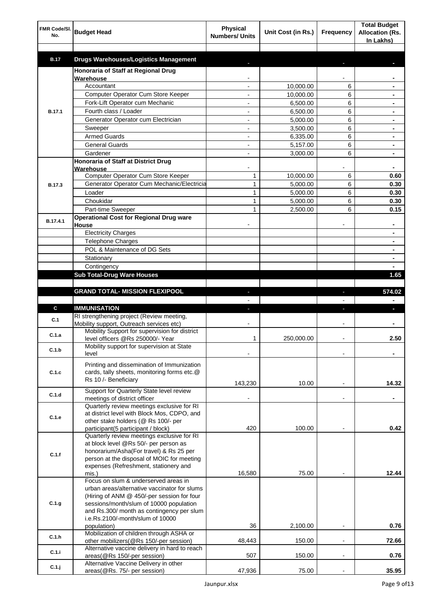| FMR Code/SI.<br>No. | <b>Budget Head</b>                                                                    | <b>Physical</b><br><b>Numbers/ Units</b> | Unit Cost (in Rs.) | Frequency      | <b>Total Budget</b><br><b>Allocation (Rs.</b><br>In Lakhs) |
|---------------------|---------------------------------------------------------------------------------------|------------------------------------------|--------------------|----------------|------------------------------------------------------------|
|                     |                                                                                       |                                          |                    |                |                                                            |
| <b>B.17</b>         | <b>Drugs Warehouses/Logistics Management</b>                                          |                                          |                    |                |                                                            |
|                     | Honoraria of Staff at Regional Drug<br>Warehouse                                      |                                          |                    |                |                                                            |
|                     | Accountant                                                                            |                                          | 10,000.00          | 6              |                                                            |
|                     | Computer Operator Cum Store Keeper                                                    |                                          | 10,000.00          | 6              |                                                            |
|                     | Fork-Lift Operator cum Mechanic                                                       |                                          | 6,500.00           | 6              |                                                            |
| <b>B.17.1</b>       | Fourth class / Loader                                                                 |                                          | 6,500.00           | 6              |                                                            |
|                     | Generator Operator cum Electrician                                                    |                                          | 5,000.00           | 6              |                                                            |
|                     | Sweeper                                                                               |                                          | 3,500.00           | 6              |                                                            |
|                     | <b>Armed Guards</b>                                                                   |                                          | 6,335.00           | 6              |                                                            |
|                     | <b>General Guards</b>                                                                 |                                          | 5,157.00           | 6              |                                                            |
|                     | Gardener                                                                              |                                          | 3,000.00           | 6              |                                                            |
|                     | <b>Honoraria of Staff at District Drug</b>                                            |                                          |                    |                |                                                            |
|                     | Warehouse                                                                             |                                          |                    |                |                                                            |
|                     | Computer Operator Cum Store Keeper                                                    | 1                                        | 10,000.00          | 6              | 0.60                                                       |
| <b>B.17.3</b>       | Generator Operator Cum Mechanic/Electricia                                            | 1                                        | 5,000.00           | 6              | 0.30                                                       |
|                     | Loader                                                                                | 1                                        | 5,000.00           | 6              | 0.30                                                       |
|                     | Choukidar                                                                             | 1                                        | 5.000.00           | 6              | 0.30                                                       |
|                     | Part-time Sweeper                                                                     | 1                                        | 2,500.00           | 6              | 0.15                                                       |
| B.17.4.1            | <b>Operational Cost for Regional Drug ware</b>                                        |                                          |                    |                |                                                            |
|                     | House                                                                                 |                                          |                    |                | ۰                                                          |
|                     | <b>Electricity Charges</b>                                                            |                                          |                    |                | ۰                                                          |
|                     | Telephone Charges                                                                     |                                          |                    |                | ۰                                                          |
|                     | POL & Maintenance of DG Sets                                                          |                                          |                    |                | ٠                                                          |
|                     | Stationary                                                                            |                                          |                    |                | ٠                                                          |
|                     | Contingency                                                                           |                                          |                    |                |                                                            |
|                     | <b>Sub Total-Drug Ware Houses</b>                                                     |                                          |                    |                | 1.65                                                       |
|                     |                                                                                       |                                          |                    |                |                                                            |
|                     | <b>GRAND TOTAL- MISSION FLEXIPOOL</b>                                                 |                                          |                    | J,             | 574.02                                                     |
|                     |                                                                                       |                                          |                    |                |                                                            |
| C                   | <b>IMMUNISATION</b>                                                                   |                                          |                    | r              | ı                                                          |
| C.1                 | RI strengthening project (Review meeting,<br>Mobility support, Outreach services etc) |                                          |                    |                |                                                            |
|                     | Mobility Support for supervision for district                                         |                                          |                    |                |                                                            |
| C.1.a               | level officers @Rs 250000/- Year                                                      | 1                                        | 250,000.00         |                | 2.50                                                       |
| C.1.b               | Mobility support for supervision at State                                             |                                          |                    |                |                                                            |
|                     | level                                                                                 |                                          |                    |                |                                                            |
|                     | Printing and dissemination of Immunization                                            |                                          |                    |                |                                                            |
| C.1.c               | cards, tally sheets, monitoring forms etc.@                                           |                                          |                    |                |                                                            |
|                     | Rs 10 /- Beneficiary                                                                  |                                          | 10.00              |                |                                                            |
|                     | Support for Quarterly State level review                                              | 143,230                                  |                    |                | 14.32                                                      |
| C.1.d               | meetings of district officer                                                          |                                          |                    |                |                                                            |
|                     | Quarterly review meetings exclusive for RI                                            |                                          |                    |                |                                                            |
| C.1.e               | at district level with Block Mos, CDPO, and                                           |                                          |                    |                |                                                            |
|                     | other stake holders (@ Rs 100/- per                                                   |                                          |                    |                |                                                            |
|                     | participant(5 participant / block)                                                    | 420                                      | 100.00             |                | 0.42                                                       |
|                     | Quarterly review meetings exclusive for RI                                            |                                          |                    |                |                                                            |
|                     | at block level @Rs 50/- per person as                                                 |                                          |                    |                |                                                            |
| C.1.f               | honorarium/Asha(For travel) & Rs 25 per<br>person at the disposal of MOIC for meeting |                                          |                    |                |                                                            |
|                     | expenses (Refreshment, stationery and                                                 |                                          |                    |                |                                                            |
|                     | mis.)                                                                                 | 16,580                                   | 75.00              |                | 12.44                                                      |
|                     | Focus on slum & underserved areas in                                                  |                                          |                    |                |                                                            |
|                     | urban areas/alternative vaccinator for slums                                          |                                          |                    |                |                                                            |
|                     | (Hiring of ANM @ 450/-per session for four                                            |                                          |                    |                |                                                            |
| C.1.g               | sessions/month/slum of 10000 population                                               |                                          |                    |                |                                                            |
|                     | and Rs.300/ month as contingency per slum<br>i.e.Rs.2100/-month/slum of 10000         |                                          |                    |                |                                                            |
|                     | population)                                                                           | 36                                       | 2,100.00           |                | 0.76                                                       |
|                     | Mobilization of children through ASHA or                                              |                                          |                    |                |                                                            |
| C.1.h               | other mobilizers(@Rs 150/-per session)                                                | 48,443                                   | 150.00             |                | 72.66                                                      |
| C.1.i               | Alternative vaccine delivery in hard to reach                                         |                                          |                    |                |                                                            |
|                     | areas(@Rs 150/-per session)                                                           | 507                                      | 150.00             | $\overline{a}$ | 0.76                                                       |
| C.1.j               | Alternative Vaccine Delivery in other                                                 |                                          |                    |                |                                                            |
|                     | areas(@Rs. 75/- per session)                                                          | 47,936                                   | 75.00              |                | 35.95                                                      |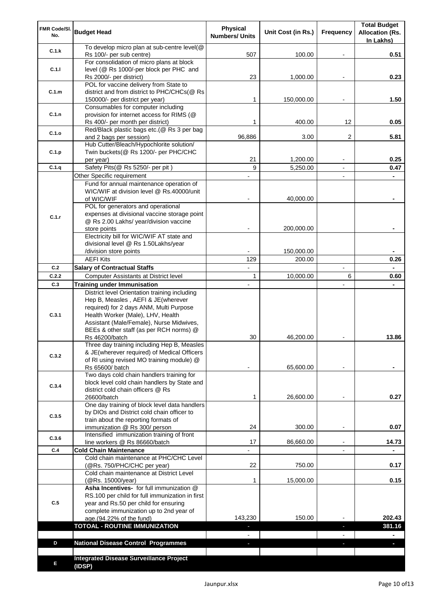| FMR Code/SI.<br>No. | <b>Budget Head</b>                                                                                                                                                                                              | <b>Physical</b><br><b>Numbers/ Units</b> | Unit Cost (in Rs.) | Frequency                | <b>Total Budget</b><br><b>Allocation (Rs.</b><br>In Lakhs) |
|---------------------|-----------------------------------------------------------------------------------------------------------------------------------------------------------------------------------------------------------------|------------------------------------------|--------------------|--------------------------|------------------------------------------------------------|
| C.1.k               | To develop micro plan at sub-centre level(@<br>Rs 100/- per sub centre)                                                                                                                                         | 507                                      | 100.00             |                          | 0.51                                                       |
| C.1.1               | For consolidation of micro plans at block<br>level (@ Rs 1000/-per block per PHC and                                                                                                                            |                                          |                    |                          |                                                            |
|                     | Rs 2000/- per district)<br>POL for vaccine delivery from State to                                                                                                                                               | 23                                       | 1,000.00           |                          | 0.23                                                       |
| C.1.m               | district and from district to PHC/CHCs(@ Rs<br>150000/- per district per year)                                                                                                                                  | 1                                        | 150,000.00         |                          | 1.50                                                       |
|                     | Consumables for computer including                                                                                                                                                                              |                                          |                    |                          |                                                            |
| C.1.n               | provision for internet access for RIMS (@<br>Rs 400/- per month per district)                                                                                                                                   | 1                                        | 400.00             | 12                       | 0.05                                                       |
| C.1.o               | Red/Black plastic bags etc.(@ Rs 3 per bag                                                                                                                                                                      |                                          |                    |                          |                                                            |
|                     | and 2 bags per session)<br>Hub Cutter/Bleach/Hypochlorite solution/                                                                                                                                             | 96,886                                   | 3.00               | 2                        | 5.81                                                       |
| C.1.p               | Twin buckets(@ Rs 1200/- per PHC/CHC                                                                                                                                                                            |                                          |                    |                          |                                                            |
|                     | per year)                                                                                                                                                                                                       | 21                                       | 1,200.00           |                          | 0.25                                                       |
| C.1.q               | Safety Pits(@ Rs 5250/- per pit)                                                                                                                                                                                | 9                                        | 5,250.00           |                          | 0.47                                                       |
|                     | Other Specific requirement<br>Fund for annual maintenance operation of                                                                                                                                          |                                          |                    | $\blacksquare$           |                                                            |
|                     | WIC/WIF at division level @ Rs.40000/unit                                                                                                                                                                       |                                          |                    |                          |                                                            |
|                     | of WIC/WIF                                                                                                                                                                                                      |                                          | 40,000.00          |                          |                                                            |
|                     | POL for generators and operational                                                                                                                                                                              |                                          |                    |                          |                                                            |
| C.1.r               | expenses at divisional vaccine storage point<br>@ Rs 2.00 Lakhs/ year/division vaccine                                                                                                                          |                                          |                    |                          |                                                            |
|                     | store points                                                                                                                                                                                                    |                                          | 200,000.00         |                          |                                                            |
|                     | Electricity bill for WIC/WIF AT state and                                                                                                                                                                       |                                          |                    |                          |                                                            |
|                     | divisional level @ Rs 1.50Lakhs/year<br>/division store points                                                                                                                                                  |                                          | 150,000.00         |                          |                                                            |
|                     | <b>AEFI Kits</b>                                                                                                                                                                                                | 129                                      | 200.00             |                          | 0.26                                                       |
| C.2                 | <b>Salary of Contractual Staffs</b>                                                                                                                                                                             | $\blacksquare$                           |                    | $\overline{\phantom{a}}$ |                                                            |
| C.2.2               | Computer Assistants at District level                                                                                                                                                                           | $\mathbf{1}$                             | 10,000.00          | 6                        | 0.60                                                       |
| C.3                 | <b>Training under Immunisation</b>                                                                                                                                                                              | $\overline{a}$                           |                    | $\overline{a}$           |                                                            |
| C.3.1               | District level Orientation training including<br>Hep B, Measles, AEFI & JE(wherever<br>required) for 2 days ANM, Multi Purpose<br>Health Worker (Male), LHV, Health<br>Assistant (Male/Female), Nurse Midwives, |                                          |                    |                          |                                                            |
|                     | BEEs & other staff (as per RCH norms) @<br>Rs 46200/batch                                                                                                                                                       | 30                                       | 46,200.00          |                          | 13.86                                                      |
| C.3.2               | Three day training including Hep B, Measles<br>& JE(wherever required) of Medical Officers<br>of RI using revised MO training module) @                                                                         |                                          |                    |                          |                                                            |
|                     | Rs 65600/ batch                                                                                                                                                                                                 |                                          | 65,600.00          |                          |                                                            |
| C.3.4               | Two days cold chain handlers training for<br>block level cold chain handlers by State and<br>district cold chain officers @ Rs<br>26600/batch                                                                   | 1                                        | 26,600.00          |                          | 0.27                                                       |
|                     | One day training of block level data handlers                                                                                                                                                                   |                                          |                    |                          |                                                            |
| C.3.5               | by DIOs and District cold chain officer to                                                                                                                                                                      |                                          |                    |                          |                                                            |
|                     | train about the reporting formats of<br>immunization @ Rs 300/ person                                                                                                                                           | 24                                       | 300.00             | $\overline{\phantom{a}}$ | 0.07                                                       |
|                     | Intensified immunization training of front                                                                                                                                                                      |                                          |                    |                          |                                                            |
| C.3.6               | line workers @ Rs 86660/batch                                                                                                                                                                                   | 17                                       | 86,660.00          | $\blacksquare$           | 14.73                                                      |
| C.4                 | <b>Cold Chain Maintenance</b>                                                                                                                                                                                   |                                          |                    |                          |                                                            |
|                     | Cold chain maintenance at PHC/CHC Level<br>(@Rs. 750/PHC/CHC per year)                                                                                                                                          | 22                                       | 750.00             |                          | 0.17                                                       |
|                     | Cold chain maintenance at District Level<br>(@Rs. 15000/year)                                                                                                                                                   | 1                                        | 15,000.00          |                          | 0.15                                                       |
| C.5                 | Asha Incentives- for full immunization @<br>RS.100 per child for full immunization in first<br>year and Rs.50 per child for ensuring<br>complete immunization up to 2nd year of                                 |                                          |                    |                          |                                                            |
|                     | age.(94.22% of the fund)                                                                                                                                                                                        | 143,230                                  | 150.00             |                          | 202.43                                                     |
|                     | <b>TOTOAL - ROUTINE IMMUNIZATION</b>                                                                                                                                                                            |                                          |                    |                          | 381.16                                                     |
| D                   | <b>National Disease Control Programmes</b>                                                                                                                                                                      |                                          |                    |                          |                                                            |
|                     |                                                                                                                                                                                                                 |                                          |                    |                          |                                                            |
| Е                   | <b>Integrated Disease Surveillance Project</b><br>(IDSP)                                                                                                                                                        |                                          |                    |                          |                                                            |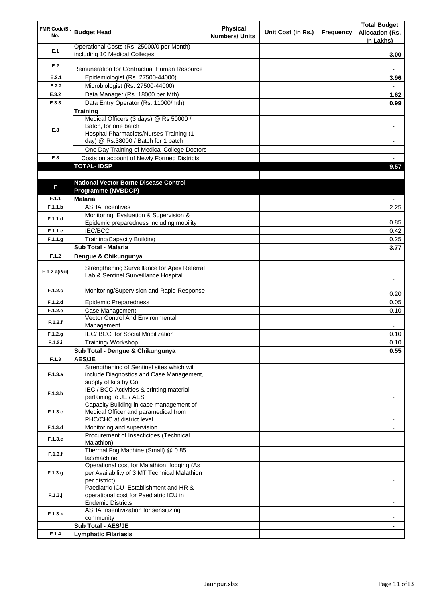| FMR Code/SI.<br>No. | <b>Budget Head</b>                                                                   | <b>Physical</b><br><b>Numbers/ Units</b> | Unit Cost (in Rs.) | <b>Frequency</b> | <b>Total Budget</b><br><b>Allocation (Rs.</b><br>In Lakhs) |
|---------------------|--------------------------------------------------------------------------------------|------------------------------------------|--------------------|------------------|------------------------------------------------------------|
| E.1                 | Operational Costs (Rs. 25000/0 per Month)<br>including 10 Medical Colleges           |                                          |                    |                  | 3.00                                                       |
| E.2                 |                                                                                      |                                          |                    |                  |                                                            |
|                     | Remuneration for Contractual Human Resource                                          |                                          |                    |                  |                                                            |
| E.2.1               | Epidemiologist (Rs. 27500-44000)                                                     |                                          |                    |                  | 3.96                                                       |
| E.2.2               | Microbiologist (Rs. 27500-44000)                                                     |                                          |                    |                  |                                                            |
| E.3.2               | Data Manager (Rs. 18000 per Mth)                                                     |                                          |                    |                  | 1.62                                                       |
| E.3.3               | Data Entry Operator (Rs. 11000/mth)                                                  |                                          |                    |                  | 0.99                                                       |
|                     | <b>Training</b><br>Medical Officers (3 days) @ Rs 50000 /                            |                                          |                    |                  |                                                            |
|                     | Batch, for one batch                                                                 |                                          |                    |                  | ۰                                                          |
| E.8                 | Hospital Pharmacists/Nurses Training (1                                              |                                          |                    |                  |                                                            |
|                     | day) @ Rs.38000 / Batch for 1 batch                                                  |                                          |                    |                  |                                                            |
|                     | One Day Training of Medical College Doctors                                          |                                          |                    |                  |                                                            |
| E.8                 | Costs on account of Newly Formed Districts                                           |                                          |                    |                  |                                                            |
|                     | <b>TOTAL-IDSP</b>                                                                    |                                          |                    |                  | 9.57                                                       |
|                     |                                                                                      |                                          |                    |                  |                                                            |
| F                   | <b>National Vector Borne Disease Control</b>                                         |                                          |                    |                  |                                                            |
|                     | Programme (NVBDCP)                                                                   |                                          |                    |                  |                                                            |
| F.1.1               | <b>Malaria</b>                                                                       |                                          |                    |                  |                                                            |
| F.1.1.b             | <b>ASHA Incentives</b>                                                               |                                          |                    |                  | 2.25                                                       |
| F.1.1.d             | Monitoring, Evaluation & Supervision &<br>Epidemic preparedness including mobility   |                                          |                    |                  | 0.85                                                       |
| F.1.1.e             | <b>IEC/BCC</b>                                                                       |                                          |                    |                  | 0.42                                                       |
| F.1.1.g             | <b>Training/Capacity Building</b>                                                    |                                          |                    |                  | 0.25                                                       |
|                     | Sub Total - Malaria                                                                  |                                          |                    |                  | 3.77                                                       |
| F.1.2               | Dengue & Chikungunya                                                                 |                                          |                    |                  |                                                            |
|                     |                                                                                      |                                          |                    |                  |                                                            |
| F.1.2.a(iⅈ)         | Strengthening Surveillance for Apex Referral<br>Lab & Sentinel Surveillance Hospital |                                          |                    |                  |                                                            |
| F.1.2.c             | Monitoring/Supervision and Rapid Response                                            |                                          |                    |                  | 0.20                                                       |
| F.1.2.d             | <b>Epidemic Preparedness</b>                                                         |                                          |                    |                  | 0.05                                                       |
| F.1.2.e             | Case Management                                                                      |                                          |                    |                  | 0.10                                                       |
| F.1.2.f             | <b>Vector Control And Environmental</b><br>Management                                |                                          |                    |                  |                                                            |
| F.1.2.g             | IEC/ BCC for Social Mobilization                                                     |                                          |                    |                  | 0.10                                                       |
| F.1.2.i             | Training/Workshop                                                                    |                                          |                    |                  | 0.10                                                       |
|                     | Sub Total - Dengue & Chikungunya                                                     |                                          |                    |                  | 0.55                                                       |
| F.1.3               | <b>AES/JE</b>                                                                        |                                          |                    |                  |                                                            |
|                     | Strengthening of Sentinel sites which will                                           |                                          |                    |                  |                                                            |
| F.1.3.a             | include Diagnostics and Case Management,                                             |                                          |                    |                  |                                                            |
|                     | supply of kits by Gol                                                                |                                          |                    |                  |                                                            |
| F.1.3.b             | IEC / BCC Activities & printing material                                             |                                          |                    |                  |                                                            |
|                     | pertaining to JE / AES<br>Capacity Building in case management of                    |                                          |                    |                  |                                                            |
| F.1.3.c             | Medical Officer and paramedical from                                                 |                                          |                    |                  |                                                            |
|                     | PHC/CHC at district level.                                                           |                                          |                    |                  |                                                            |
| F.1.3.d             | Monitoring and supervision                                                           |                                          |                    |                  |                                                            |
| F.1.3.e             | Procurement of Insecticides (Technical                                               |                                          |                    |                  |                                                            |
|                     | Malathion)                                                                           |                                          |                    |                  |                                                            |
| F.1.3.f             | Thermal Fog Machine (Small) @ 0.85                                                   |                                          |                    |                  |                                                            |
|                     | lac/machine<br>Operational cost for Malathion fogging (As                            |                                          |                    |                  |                                                            |
| F.1.3.g             | per Availability of 3 MT Technical Malathion                                         |                                          |                    |                  |                                                            |
|                     | per district)                                                                        |                                          |                    |                  |                                                            |
|                     | Paediatric ICU Establishment and HR &                                                |                                          |                    |                  |                                                            |
| $F.1.3.$ j          | operational cost for Paediatric ICU in                                               |                                          |                    |                  |                                                            |
|                     | <b>Endemic Districts</b>                                                             |                                          |                    |                  |                                                            |
| F.1.3.k             | ASHA Insentivization for sensitizing                                                 |                                          |                    |                  |                                                            |
|                     | community<br>Sub Total - AES/JE                                                      |                                          |                    |                  |                                                            |
| F.1.4               | <b>Lymphatic Filariasis</b>                                                          |                                          |                    |                  |                                                            |
|                     |                                                                                      |                                          |                    |                  |                                                            |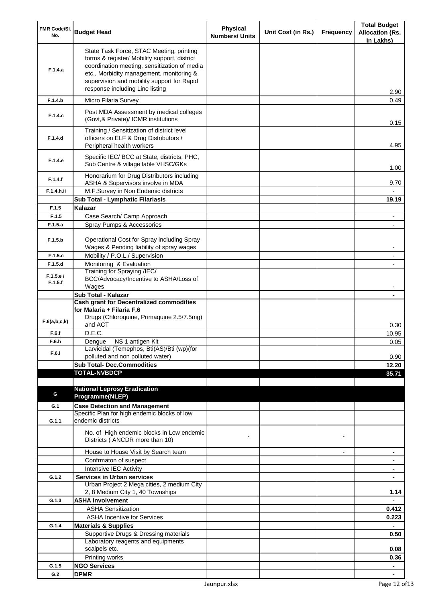| FMR Code/SI.<br>No. | <b>Budget Head</b>                                                                                                                                                                                                                                                    | <b>Physical</b><br><b>Numbers/ Units</b> | Unit Cost (in Rs.) | Frequency      | <b>Total Budget</b><br><b>Allocation (Rs.</b> |
|---------------------|-----------------------------------------------------------------------------------------------------------------------------------------------------------------------------------------------------------------------------------------------------------------------|------------------------------------------|--------------------|----------------|-----------------------------------------------|
|                     |                                                                                                                                                                                                                                                                       |                                          |                    |                | In Lakhs)                                     |
| F.1.4.a             | State Task Force, STAC Meeting, printing<br>forms & register/ Mobility support, district<br>coordination meeting, sensitization of media<br>etc., Morbidity management, monitoring &<br>supervision and mobility support for Rapid<br>response including Line listing |                                          |                    |                | 2.90                                          |
| F.1.4.b             | Micro Filaria Survey                                                                                                                                                                                                                                                  |                                          |                    |                | 0.49                                          |
| F.1.4.c             | Post MDA Assessment by medical colleges<br>(Govt, & Private)/ ICMR institutions                                                                                                                                                                                       |                                          |                    |                | 0.15                                          |
| F.1.4.d             | Training / Sensitization of district level<br>officers on ELF & Drug Distributors /<br>Peripheral health workers                                                                                                                                                      |                                          |                    |                | 4.95                                          |
| F.1.4.e             | Specific IEC/ BCC at State, districts, PHC,<br>Sub Centre & village lable VHSC/GKs                                                                                                                                                                                    |                                          |                    |                | 1.00                                          |
| F.1.4.f             | Honorarium for Drug Distributors including<br>ASHA & Supervisors involve in MDA                                                                                                                                                                                       |                                          |                    |                | 9.70                                          |
| F.1.4.h.ii          | M.F.Survey in Non Endemic districts                                                                                                                                                                                                                                   |                                          |                    |                |                                               |
|                     | Sub Total - Lymphatic Filariasis                                                                                                                                                                                                                                      |                                          |                    |                | 19.19                                         |
| F.1.5<br>F.1.5      | Kalazar<br>Case Search/ Camp Approach                                                                                                                                                                                                                                 |                                          |                    |                |                                               |
| F.1.5.a             | Spray Pumps & Accessories                                                                                                                                                                                                                                             |                                          |                    |                |                                               |
|                     |                                                                                                                                                                                                                                                                       |                                          |                    |                |                                               |
| F.1.5.b             | Operational Cost for Spray including Spray<br>Wages & Pending liability of spray wages                                                                                                                                                                                |                                          |                    |                |                                               |
| F.1.5.c             | Mobility / P.O.L./ Supervision                                                                                                                                                                                                                                        |                                          |                    |                |                                               |
| F.1.5.d             | Monitoring & Evaluation<br>Training for Spraying /IEC/                                                                                                                                                                                                                |                                          |                    |                |                                               |
| F.1.5.e/<br>F.1.5.f | BCC/Advocacy/Incentive to ASHA/Loss of<br>Wages                                                                                                                                                                                                                       |                                          |                    |                |                                               |
|                     | Sub Total - Kalazar                                                                                                                                                                                                                                                   |                                          |                    |                |                                               |
|                     | <b>Cash grant for Decentralized commodities</b>                                                                                                                                                                                                                       |                                          |                    |                |                                               |
|                     | for Malaria + Filaria F.6                                                                                                                                                                                                                                             |                                          |                    |                |                                               |
| F.6(a,b,c,k)        | Drugs (Chloroquine, Primaquine 2.5/7.5mg)<br>and ACT                                                                                                                                                                                                                  |                                          |                    |                | 0.30                                          |
| F.6.f               | D.E.C.                                                                                                                                                                                                                                                                |                                          |                    |                | 10.95                                         |
| F.6.h               | Dengue NS 1 antigen Kit<br>Larvicidal (Temephos, Bti(AS)/Bti (wp)(for                                                                                                                                                                                                 |                                          |                    |                | 0.05                                          |
| F.6.i               | polluted and non polluted water)                                                                                                                                                                                                                                      |                                          |                    |                | 0.90                                          |
|                     | <b>Sub Total- Dec.Commodities</b>                                                                                                                                                                                                                                     |                                          |                    |                | 12.20                                         |
|                     | <b>TOTAL-NVBDCP</b>                                                                                                                                                                                                                                                   |                                          |                    |                | 35.71                                         |
|                     |                                                                                                                                                                                                                                                                       |                                          |                    |                |                                               |
| G                   | <b>National Leprosy Eradication</b><br>Programme(NLEP)                                                                                                                                                                                                                |                                          |                    |                |                                               |
| G.1                 | <b>Case Detection and Management</b>                                                                                                                                                                                                                                  |                                          |                    |                |                                               |
|                     | Specific Plan for high endemic blocks of low                                                                                                                                                                                                                          |                                          |                    |                |                                               |
| G.1.1               | endemic districts                                                                                                                                                                                                                                                     |                                          |                    |                |                                               |
|                     | No. of High endemic blocks in Low endemic<br>Districts (ANCDR more than 10)                                                                                                                                                                                           |                                          |                    |                |                                               |
|                     | House to House Visit by Search team                                                                                                                                                                                                                                   |                                          |                    | $\blacksquare$ | ۰                                             |
|                     | Confrmaton of suspect                                                                                                                                                                                                                                                 |                                          |                    |                | ۰                                             |
|                     | Intensive IEC Activity                                                                                                                                                                                                                                                |                                          |                    |                | ٠                                             |
| G.1.2               | <b>Services in Urban services</b>                                                                                                                                                                                                                                     |                                          |                    |                | $\blacksquare$                                |
|                     | Urban Project 2 Mega cities, 2 medium City<br>2, 8 Medium City 1, 40 Townships                                                                                                                                                                                        |                                          |                    |                | 1.14                                          |
| G.1.3               | <b>ASHA involvement</b>                                                                                                                                                                                                                                               |                                          |                    |                |                                               |
|                     | <b>ASHA Sensitization</b>                                                                                                                                                                                                                                             |                                          |                    |                | 0.412                                         |
|                     | <b>ASHA Incentive for Services</b>                                                                                                                                                                                                                                    |                                          |                    |                | 0.223                                         |
| G.1.4               | <b>Materials &amp; Supplies</b>                                                                                                                                                                                                                                       |                                          |                    |                |                                               |
|                     | Supportive Drugs & Dressing materials                                                                                                                                                                                                                                 |                                          |                    |                | 0.50                                          |
|                     | Laboratory reagents and equipments<br>scalpels etc.                                                                                                                                                                                                                   |                                          |                    |                | 0.08                                          |
|                     | Printing works                                                                                                                                                                                                                                                        |                                          |                    |                | 0.36                                          |
| G.1.5               | <b>NGO Services</b>                                                                                                                                                                                                                                                   |                                          |                    |                | $\blacksquare$                                |
| G.2                 | <b>DPMR</b>                                                                                                                                                                                                                                                           |                                          |                    |                | $\blacksquare$                                |